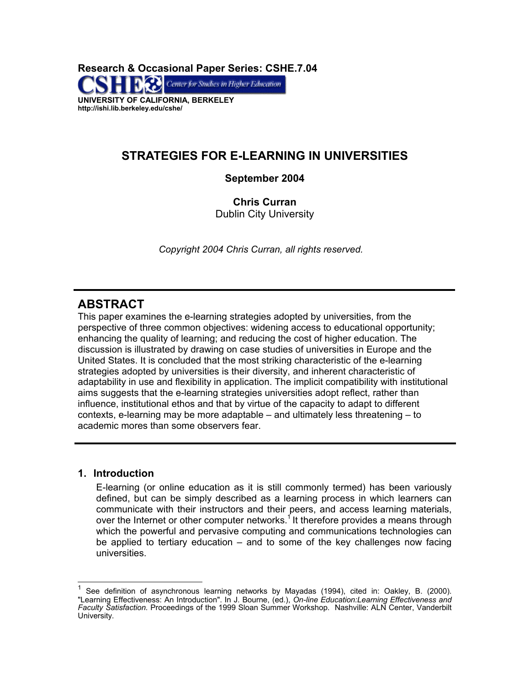**Research & Occasional Paper Series: CSHE.7.04**  Center for Studies in Higher Education **UNIVERSITY OF CALIFORNIA, BERKELEY http://ishi.lib.berkeley.edu/cshe/** 

# **STRATEGIES FOR E-LEARNING IN UNIVERSITIES**

# **September 2004**

**Chris Curran**  Dublin City University

*Copyright 2004 Chris Curran, all rights reserved.* 

# **ABSTRACT**

This paper examines the e-learning strategies adopted by universities, from the perspective of three common objectives: widening access to educational opportunity; enhancing the quality of learning; and reducing the cost of higher education. The discussion is illustrated by drawing on case studies of universities in Europe and the United States. It is concluded that the most striking characteristic of the e-learning strategies adopted by universities is their diversity, and inherent characteristic of adaptability in use and flexibility in application. The implicit compatibility with institutional aims suggests that the e-learning strategies universities adopt reflect, rather than influence, institutional ethos and that by virtue of the capacity to adapt to different contexts, e-learning may be more adaptable – and ultimately less threatening – to academic mores than some observers fear.

# **1. Introduction**

 $\overline{\phantom{a}}$ 

E-learning (or online education as it is still commonly termed) has been variously defined, but can be simply described as a learning process in which learners can communicate with their instructors and their peers, and access learning materials, over the Internet or other computer networks.<sup>1</sup> It therefore provides a means through which the powerful and pervasive computing and communications technologies can be applied to tertiary education – and to some of the key challenges now facing universities.

<span id="page-0-0"></span><sup>1</sup> See definition of asynchronous learning networks by Mayadas (1994), cited in: Oakley, B. (2000). "Learning Effectiveness: An Introduction". In J. Bourne, (ed.), *On-line Education:Learning Effectiveness and Faculty Satisfaction.* Proceedings of the 1999 Sloan Summer Workshop. Nashville: ALN Center, Vanderbilt University.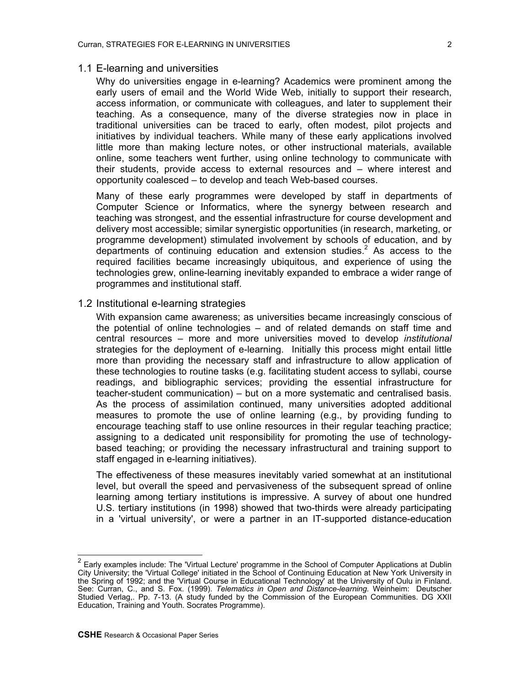### 1.1 E-learning and universities

Why do universities engage in e-learning? Academics were prominent among the early users of email and the World Wide Web, initially to support their research, access information, or communicate with colleagues, and later to supplement their teaching. As a consequence, many of the diverse strategies now in place in traditional universities can be traced to early, often modest, pilot projects and initiatives by individual teachers. While many of these early applications involved little more than making lecture notes, or other instructional materials, available online, some teachers went further, using online technology to communicate with their students, provide access to external resources and – where interest and opportunity coalesced – to develop and teach Web-based courses.

Many of these early programmes were developed by staff in departments of Computer Science or Informatics, where the synergy between research and teaching was strongest, and the essential infrastructure for course development and delivery most accessible; similar synergistic opportunities (in research, marketing, or programme development) stimulated involvement by schools of education, and by departments of continuing education and extension studies.<sup>[2](#page-1-0)</sup> As access to the required facilities became increasingly ubiquitous, and experience of using the technologies grew, online-learning inevitably expanded to embrace a wider range of programmes and institutional staff.

# 1.2 Institutional e-learning strategies

With expansion came awareness; as universities became increasingly conscious of the potential of online technologies – and of related demands on staff time and central resources – more and more universities moved to develop *institutional* strategies for the deployment of e-learning. Initially this process might entail little more than providing the necessary staff and infrastructure to allow application of these technologies to routine tasks (e.g. facilitating student access to syllabi, course readings, and bibliographic services; providing the essential infrastructure for teacher-student communication) – but on a more systematic and centralised basis. As the process of assimilation continued, many universities adopted additional measures to promote the use of online learning (e.g., by providing funding to encourage teaching staff to use online resources in their regular teaching practice; assigning to a dedicated unit responsibility for promoting the use of technologybased teaching; or providing the necessary infrastructural and training support to staff engaged in e-learning initiatives).

The effectiveness of these measures inevitably varied somewhat at an institutional level, but overall the speed and pervasiveness of the subsequent spread of online learning among tertiary institutions is impressive. A survey of about one hundred U.S. tertiary institutions (in 1998) showed that two-thirds were already participating in a 'virtual university', or were a partner in an IT-supported distance-education

<span id="page-1-0"></span><sup>&</sup>lt;sup>2</sup> Early examples include: The 'Virtual Lecture' programme in the School of Computer Applications at Dublin City University; the 'Virtual College' initiated in the School of Continuing Education at New York University in the Spring of 1992; and the 'Virtual Course in Educational Technology' at the University of Oulu in Finland. See: Curran, C., and S. Fox. (1999). *Telematics in Open and Distance-learning.* Weinheim: Deutscher Studied Verlag,. Pp. 7-13. (A study funded by the Commission of the European Communities. DG XXII Education, Training and Youth. Socrates Programme).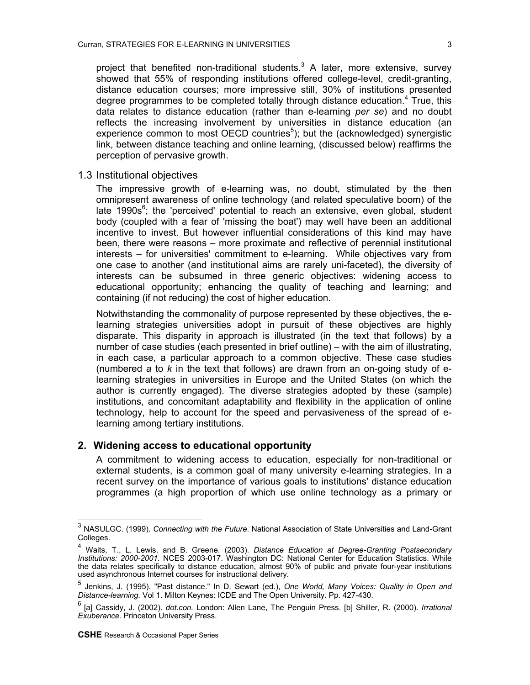project that benefited non-traditional students. $3$  A later, more extensive, survey showed that 55% of responding institutions offered college-level, credit-granting, distance education courses; more impressive still, 30% of institutions presented degree programmes to be completed totally through distance education.<sup>[4](#page-2-1)</sup> True, this data relates to distance education (rather than e-learning *per se*) and no doubt reflects the increasing involvement by universities in distance education (an experience common to most OECD countries<sup>[5](#page-2-2)</sup>); but the (acknowledged) synergistic link, between distance teaching and online learning, (discussed below) reaffirms the perception of pervasive growth.

1.3 Institutional objectives

The impressive growth of e-learning was, no doubt, stimulated by the then omnipresent awareness of online technology (and related speculative boom) of the late  $1990s<sup>6</sup>$  $1990s<sup>6</sup>$  $1990s<sup>6</sup>$ ; the 'perceived' potential to reach an extensive, even global, student body (coupled with a fear of 'missing the boat') may well have been an additional incentive to invest. But however influential considerations of this kind may have been, there were reasons – more proximate and reflective of perennial institutional interests – for universities' commitment to e-learning. While objectives vary from one case to another (and institutional aims are rarely uni-faceted), the diversity of interests can be subsumed in three generic objectives: widening access to educational opportunity; enhancing the quality of teaching and learning; and containing (if not reducing) the cost of higher education.

Notwithstanding the commonality of purpose represented by these objectives, the elearning strategies universities adopt in pursuit of these objectives are highly disparate. This disparity in approach is illustrated (in the text that follows) by a number of case studies (each presented in brief outline) – with the aim of illustrating, in each case, a particular approach to a common objective. These case studies (numbered *a* to *k* in the text that follows) are drawn from an on-going study of elearning strategies in universities in Europe and the United States (on which the author is currently engaged). The diverse strategies adopted by these (sample) institutions, and concomitant adaptability and flexibility in the application of online technology, help to account for the speed and pervasiveness of the spread of elearning among tertiary institutions.

# **2. Widening access to educational opportunity**

A commitment to widening access to education, especially for non-traditional or external students, is a common goal of many university e-learning strategies. In a recent survey on the importance of various goals to institutions' distance education programmes (a high proportion of which use online technology as a primary or

<span id="page-2-0"></span> 3 NASULGC. (1999). *Connecting with the Future*. National Association of State Universities and Land-Grant Colleges.

<span id="page-2-1"></span><sup>4</sup> Waits, T., L. Lewis, and B. Greene. (2003). *Distance Education at Degree-Granting Postsecondary Institutions: 2000-2001.* NCES 2003-017. Washington DC: National Center for Education Statistics. While the data relates specifically to distance education, almost 90% of public and private four-year institutions used asynchronous Internet courses for instructional delivery.

<span id="page-2-2"></span><sup>5</sup> Jenkins, J. (1995). "Past distance." In D. Sewart (ed.), *One World, Many Voices: Quality in Open and Distance-learning.* Vol 1. Milton Keynes: ICDE and The Open University. Pp. 427-430.

<span id="page-2-3"></span><sup>6 [</sup>a] Cassidy, J. (2002). *dot.con.* London: Allen Lane, The Penguin Press. [b] Shiller, R. (2000). *Irrational Exuberance.* Princeton University Press.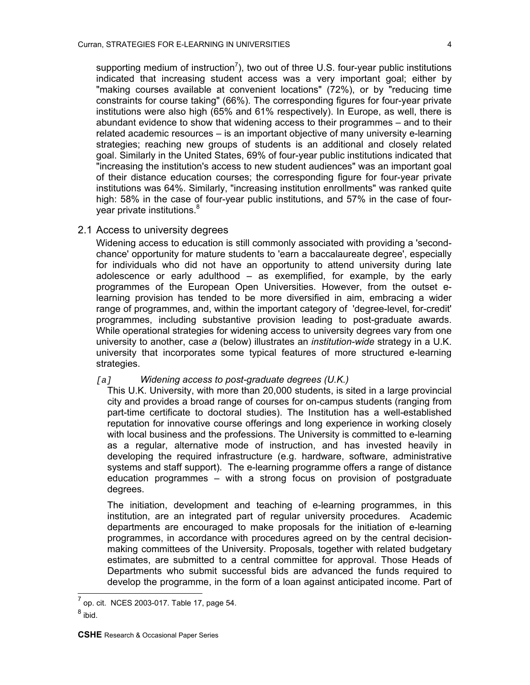supporting medium of instruction<sup>[7](#page-3-0)</sup>), two out of three U.S. four-year public institutions indicated that increasing student access was a very important goal; either by "making courses available at convenient locations" (72%), or by "reducing time constraints for course taking" (66%). The corresponding figures for four-year private institutions were also high (65% and 61% respectively). In Europe, as well, there is abundant evidence to show that widening access to their programmes – and to their related academic resources – is an important objective of many university e-learning strategies; reaching new groups of students is an additional and closely related goal. Similarly in the United States, 69% of four-year public institutions indicated that "increasing the institution's access to new student audiences" was an important goal of their distance education courses; the corresponding figure for four-year private institutions was 64%. Similarly, "increasing institution enrollments" was ranked quite high: 58% in the case of four-year public institutions, and 57% in the case of four-year private institutions.<sup>[8](#page-3-1)</sup>

# 2.1 Access to university degrees

Widening access to education is still commonly associated with providing a 'secondchance' opportunity for mature students to 'earn a baccalaureate degree', especially for individuals who did not have an opportunity to attend university during late adolescence or early adulthood  $-$  as exemplified, for example, by the early programmes of the European Open Universities. However, from the outset elearning provision has tended to be more diversified in aim, embracing a wider range of programmes, and, within the important category of 'degree-level, for-credit' programmes, including substantive provision leading to post-graduate awards. While operational strategies for widening access to university degrees vary from one university to another, case *a* (below) illustrates an *institution-wide* strategy in a U.K. university that incorporates some typical features of more structured e-learning strategies.

#### *[a] Widening access to post-graduate degrees (U.K.)*

This U.K. University, with more than 20,000 students, is sited in a large provincial city and provides a broad range of courses for on-campus students (ranging from part-time certificate to doctoral studies). The Institution has a well-established reputation for innovative course offerings and long experience in working closely with local business and the professions. The University is committed to e-learning as a regular, alternative mode of instruction, and has invested heavily in developing the required infrastructure (e.g. hardware, software, administrative systems and staff support). The e-learning programme offers a range of distance education programmes – with a strong focus on provision of postgraduate degrees.

The initiation, development and teaching of e-learning programmes, in this institution, are an integrated part of regular university procedures. Academic departments are encouraged to make proposals for the initiation of e-learning programmes, in accordance with procedures agreed on by the central decisionmaking committees of the University. Proposals, together with related budgetary estimates, are submitted to a central committee for approval. Those Heads of Departments who submit successful bids are advanced the funds required to develop the programme, in the form of a loan against anticipated income. Part of

<span id="page-3-0"></span> $\overline{\phantom{a}}$ 7 op. cit. NCES 2003-017. Table 17, page 54.

<span id="page-3-1"></span><sup>&</sup>lt;sup>8</sup> ibid.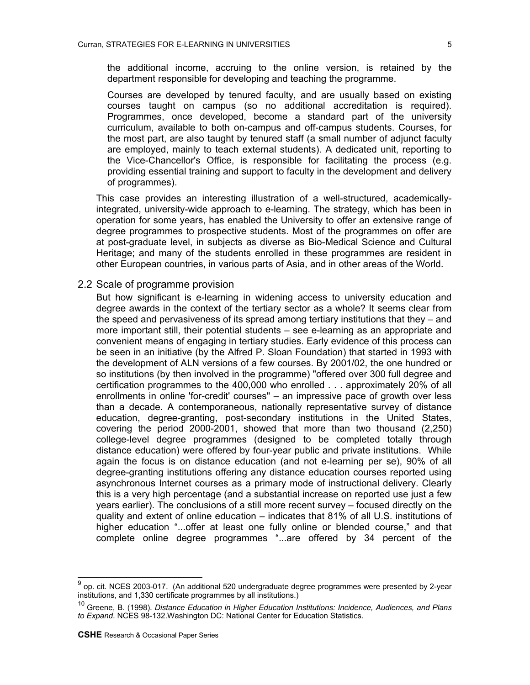the additional income, accruing to the online version, is retained by the department responsible for developing and teaching the programme.

Courses are developed by tenured faculty, and are usually based on existing courses taught on campus (so no additional accreditation is required). Programmes, once developed, become a standard part of the university curriculum, available to both on-campus and off-campus students. Courses, for the most part, are also taught by tenured staff (a small number of adjunct faculty are employed, mainly to teach external students). A dedicated unit, reporting to the Vice-Chancellor's Office, is responsible for facilitating the process (e.g. providing essential training and support to faculty in the development and delivery of programmes).

This case provides an interesting illustration of a well-structured, academicallyintegrated, university-wide approach to e-learning. The strategy, which has been in operation for some years, has enabled the University to offer an extensive range of degree programmes to prospective students. Most of the programmes on offer are at post-graduate level, in subjects as diverse as Bio-Medical Science and Cultural Heritage; and many of the students enrolled in these programmes are resident in other European countries, in various parts of Asia, and in other areas of the World.

#### 2.2 Scale of programme provision

But how significant is e-learning in widening access to university education and degree awards in the context of the tertiary sector as a whole? It seems clear from the speed and pervasiveness of its spread among tertiary institutions that they – and more important still, their potential students – see e-learning as an appropriate and convenient means of engaging in tertiary studies. Early evidence of this process can be seen in an initiative (by the Alfred P. Sloan Foundation) that started in 1993 with the development of ALN versions of a few courses. By 2001/02, the one hundred or so institutions (by then involved in the programme) "offered over 300 full degree and certification programmes to the 400,000 who enrolled . . . approximately 20% of all enrollments in online 'for-credit' courses" – an impressive pace of growth over less than a decade. A contemporaneous, nationally representative survey of distance education, degree-granting, post-secondary institutions in the United States, covering the period 2000-2001, showed that more than two thousand (2,250) college-level degree programmes (designed to be completed totally through distance education) were offered by four-year public and private institutions.While again the focus is on distance education (and not e-learning per se), 90% of all degree-granting institutions offering any distance education courses reported using asynchronous Internet courses as a primary mode of instructional delivery. Clearly this is a very high percentage (and a substantial increase on reported use just a few years earlier)[. T](#page-4-1)he conclusions of a still more recent survey – focused directly on the quality and extent of online education – indicates that 81% of all U.S. institutions of higher education "...offer at least one fully online or blended course," and that complete online degree programmes "...are offered by 34 percent of the

<span id="page-4-0"></span>ender and the mode of the mode of the mode of the mode of the mode of the mode of the mode of the mode of the m<br>The programmes were presented by 2-year of the additional 520 undergraduate degree programmes were presented b institutions, and 1,330 certificate programmes by all institutions.)

<span id="page-4-1"></span><sup>10</sup> Greene, B. (1998). *Distance Education in Higher Education Institutions: Incidence, Audiences, and Plans to Expand*. NCES 98-132.Washington DC: National Center for Education Statistics.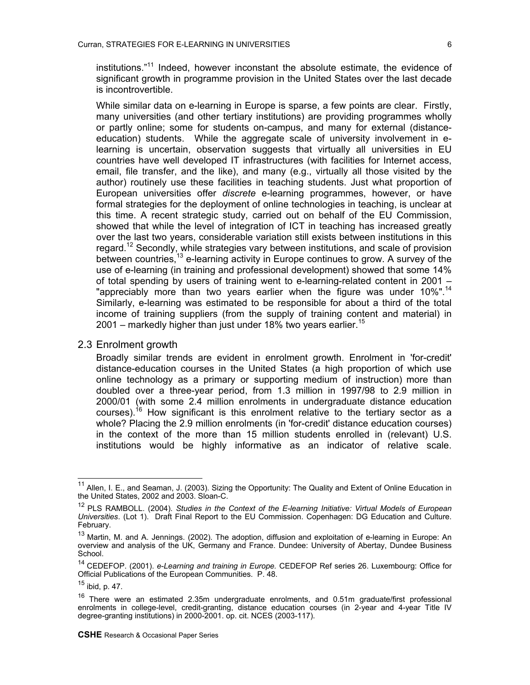institutions."[11](#page-5-0) Indeed, however inconstant the absolute estimate, the evidence of significant growth in programme provision in the United States over the last decade is incontrovertible.

While similar data on e-learning in Europe is sparse, a few points are clear. Firstly, many universities (and other tertiary institutions) are providing programmes wholly or partly online; some for students on-campus, and many for external (distanceeducation) students. While the aggregate scale of university involvement in elearning is uncertain, observation suggests that virtually all universities in EU countries have well developed IT infrastructures (with facilities for Internet access, email, file transfer, and the like), and many (e.g., virtually all those visited by the author) routinely use these facilities in teaching students. Just what proportion of European universities offer *discrete* e-learning programmes, however, or have formal strategies for the deployment of online technologies in teaching, is unclear at this time. A recent strategic study, carried out on behalf of the EU Commission, showed that while the level of integration of ICT in teaching has increased greatly over the last two years, considerable variation still exists between institutions in this regard.[12](#page-5-1) Secondly, while strategies vary between institutions, and scale of provision between countries,<sup>13</sup> e-learning activity in Europe continues to grow. A survey of the use of e-learning (in training and professional development) showed that some 14% of total spending by users of training went to e-learning-related content in 2001 – "appreciably more than two years earlier when the figure was under 10%".<sup>14</sup> Similarly, e-learning was estimated to be responsible for about a third of the total income of training suppliers (from the supply of training content and material) in 2001 – markedly higher than just under 18% two years earlier.<sup>15</sup>

#### 2.3 Enrolment growth

Broadly similar trends are evident in enrolment growth. Enrolment in 'for-credit' distance-education courses in the United States (a high proportion of which use online technology as a primary or supporting medium of instruction) more than doubled over a three-year period, from 1.3 million in 1997/98 to 2.9 million in 2000/01 (with some 2.4 million enrolments in undergraduate distance education courses).[16](#page-5-5) How significant is this enrolment relative to the tertiary sector as a whole? Placing the 2.9 million enrolments (in 'for-credit' distance education courses) in the context of the more than 15 million students enrolled in (relevant) U.S. institutions would be highly informative as an indicator of relative scale.

<span id="page-5-0"></span><sup>&</sup>lt;sup>11</sup> Allen, I. E., and Seaman, J. (2003). Sizing the Opportunity: The Quality and Extent of Online Education in the United States, 2002 and 2003. Sloan-C.

<span id="page-5-1"></span><sup>&</sup>lt;sup>12</sup> PLS RAMBOLL. (2004). *Studies in the Context of the E-learning Initiative: Virtual Models of European Universities*. (Lot 1). Draft Final Report to the EU Commission. Copenhagen: DG Education and Culture. February.

<span id="page-5-2"></span><sup>&</sup>lt;sup>13</sup> Martin, M. and A. Jennings. (2002). The adoption, diffusion and exploitation of e-learning in Europe: An overview and analysis of the UK, Germany and France. Dundee: University of Abertay, Dundee Business School.

<span id="page-5-3"></span><sup>14</sup> CEDEFOP. (2001). *e-Learning and training in Europe.* CEDEFOP Ref series 26. Luxembourg: Office for Official Publications of the European Communities. P. 48.

<span id="page-5-4"></span> $15$  ibid, p. 47.

<span id="page-5-5"></span><sup>&</sup>lt;sup>16</sup> There were an estimated 2.35m undergraduate enrolments, and 0.51m graduate/first professional enrolments in college-level, credit-granting, distance education courses (in 2-year and 4-year Title IV degree-granting institutions) in 2000-2001. op. cit. NCES (2003-117).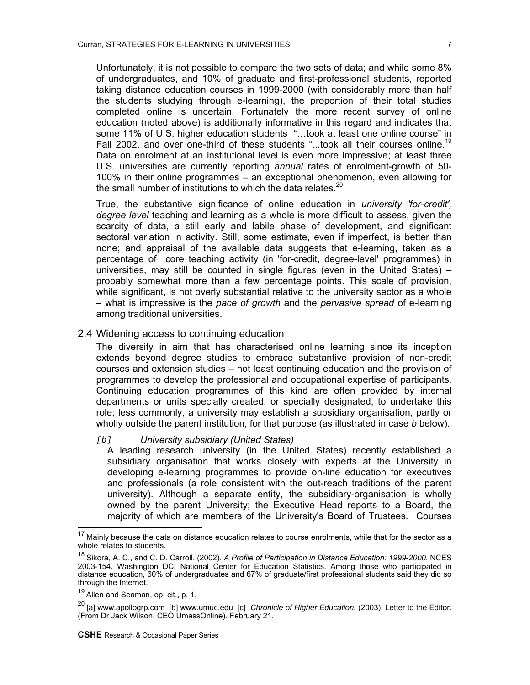Unfortunately, it is not possible to compare the two sets of dat[a;](#page-6-0) and while some 8% of undergraduates, and 10% of graduate and first-professional students, reported taking distance education courses in 1999-200[0 \(](#page-6-1)with considerably more than half the students studying through e-learning), the proportion of their total studies completed online is uncertain. Fortunately the more recent survey of online education (noted above) is additionally informative in this regard and indicates that some 11% of U.S. higher education students "...took at least one online course" in Fall 2002, and over one-third of these students "...took all their courses online.<sup>19</sup> Data on enrolment at an institutional level is even more impressive; at least three U.S. universities are currently reporting *annual* rates of enrolment-growth of 50- 100% in their online programmes – an exceptional phenomenon, even allowing for the small number of institutions to which the data relates. $20$ 

True, the substantive significance of online education in *university 'for-credit', degree level* teaching and learning as a whole is more difficult to assess, given the scarcity of data, a still early and labile phase of development, and significant sectoral variation in activity. Still, some estimate, even if imperfect, is better than none; and appraisal of the available data suggests that e-learning, taken as a percentage of core teaching activity (in 'for-credit, degree-level' programmes) in universities, may still be counted in single figures (even in the United States) – probably somewhat more than a few percentage points. This scale of provision, while significant, is not overly substantial relative to the university sector as a whole – what is impressive is the *pace of growth* and the *pervasive spread* of e-learning among traditional universities.

#### 2.4 Widening access to continuing education

The diversity in aim that has characterised online learning since its inception extends beyond degree studies to embrace substantive provision of non-credit courses and extension studies – not least continuing education and the provision of programmes to develop the professional and occupational expertise of participants. Continuing education programmes of this kind are often provided by internal departments or units specially created, or specially designated, to undertake this role; less commonly, a university may establish a subsidiary organisation, partly or wholly outside the parent institution, for that purpose (as illustrated in case *b* below).

#### *[b] University subsidiary (United States)*

A leading research university (in the United States) recently established a subsidiary organisation that works closely with experts at the University in developing e-learning programmes to provide on-line education for executives and professionals (a role consistent with the out-reach traditions of the parent university). Although a separate entity, the subsidiary-organisation is wholly owned by the parent University; the Executive Head reports to a Board, the majority of which are members of the University's Board of Trustees. Courses

l

<span id="page-6-0"></span>Mainly because the data on distance education relates to course enrolments, while that for the sector as a whole relates to students.

<span id="page-6-1"></span><sup>18</sup> Sikora, A. C., and C. D. Carroll. (2002). *A Profile of Participation in Distance Education: 1999-2000.* NCES 2003-154. Washington DC: National Center for Education Statistics. Among those who participated in distance education, 60% of undergraduates and 67% of graduate/first professional students said they did so through the Internet.

<span id="page-6-2"></span><sup>&</sup>lt;sup>19</sup> Allen and Seaman, op. cit., p. 1.

<span id="page-6-3"></span><sup>20 [</sup>a] www.apollogrp.com [b] www.umuc.edu [c] *Chronicle of Higher Education.* (2003). Letter to the Editor. (From Dr Jack Wilson, CEO UmassOnline). February 21.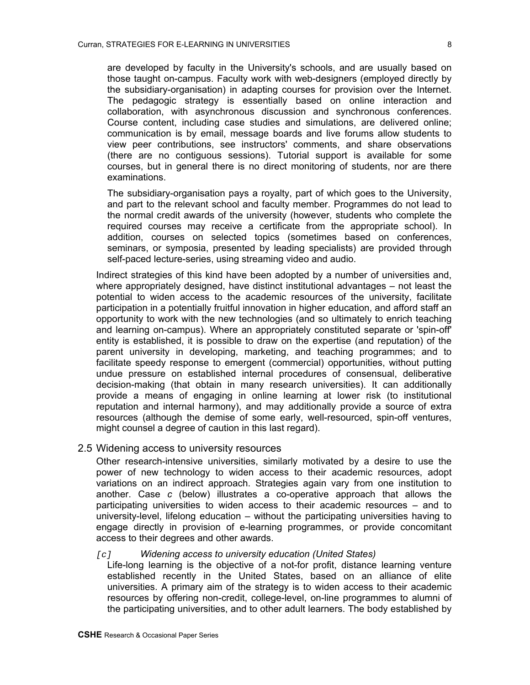are developed by faculty in the University's schools, and are usually based on those taught on-campus. Faculty work with web-designers (employed directly by the subsidiary-organisation) in adapting courses for provision over the Internet. The pedagogic strategy is essentially based on online interaction and collaboration, with asynchronous discussion and synchronous conferences. Course content, including case studies and simulations, are delivered online; communication is by email, message boards and live forums allow students to view peer contributions, see instructors' comments, and share observations (there are no contiguous sessions). Tutorial support is available for some courses, but in general there is no direct monitoring of students, nor are there examinations.

The subsidiary-organisation pays a royalty, part of which goes to the University, and part to the relevant school and faculty member. Programmes do not lead to the normal credit awards of the university (however, students who complete the required courses may receive a certificate from the appropriate school). In addition, courses on selected topics (sometimes based on conferences, seminars, or symposia, presented by leading specialists) are provided through self-paced lecture-series, using streaming video and audio.

Indirect strategies of this kind have been adopted by a number of universities and, where appropriately designed, have distinct institutional advantages – not least the potential to widen access to the academic resources of the university, facilitate participation in a potentially fruitful innovation in higher education, and afford staff an opportunity to work with the new technologies (and so ultimately to enrich teaching and learning on-campus). Where an appropriately constituted separate or 'spin-off' entity is established, it is possible to draw on the expertise (and reputation) of the parent university in developing, marketing, and teaching programmes; and to facilitate speedy response to emergent (commercial) opportunities, without putting undue pressure on established internal procedures of consensual, deliberative decision-making (that obtain in many research universities). It can additionally provide a means of engaging in online learning at lower risk (to institutional reputation and internal harmony), and may additionally provide a source of extra resources (although the demise of some early, well-resourced, spin-off ventures, might counsel a degree of caution in this last regard).

#### 2.5 Widening access to university resources

Other research-intensive universities, similarly motivated by a desire to use the power of new technology to widen access to their academic resources, adopt variations on an indirect approach. Strategies again vary from one institution to another. Case *c* (below) illustrates a co-operative approach that allows the participating universities to widen access to their academic resources – and to university-level, lifelong education – without the participating universities having to engage directly in provision of e-learning programmes, or provide concomitant access to their degrees and other awards.

#### *[c] Widening access to university education (United States)*

Life-long learning is the objective of a not-for profit, distance learning venture established recently in the United States, based on an alliance of elite universities. A primary aim of the strategy is to widen access to their academic resources by offering non-credit, college-level, on-line programmes to alumni of the participating universities, and to other adult learners. The body established by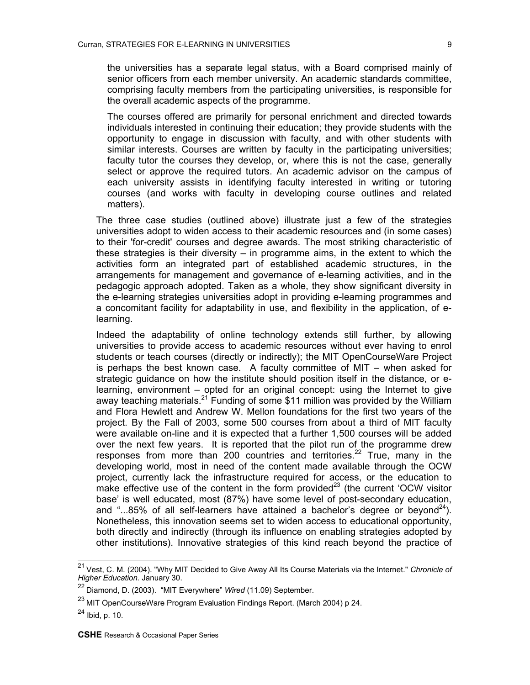the universities has a separate legal status, with a Board comprised mainly of senior officers from each member university. An academic standards committee, comprising faculty members from the participating universities, is responsible for the overall academic aspects of the programme.

The courses offered are primarily for personal enrichment and directed towards individuals interested in continuing their education; they provide students with the opportunity to engage in discussion with faculty, and with other students with similar interests. Courses are written by faculty in the participating universities; faculty tutor the courses they develop, or, where this is not the case, generally select or approve the required tutors. An academic advisor on the campus of each university assists in identifying faculty interested in writing or tutoring courses (and works with faculty in developing course outlines and related matters).

The three case studies (outlined above) illustrate just a few of the strategies universities adopt to widen access to their academic resources and (in some cases) to their 'for-credit' courses and degree awards. The most striking characteristic of these strategies is their diversity – in programme aims, in the extent to which the activities form an integrated part of established academic structures, in the arrangements for management and governance of e-learning activities, and in the pedagogic approach adopted. Taken as a whole, they show significant diversity in the e-learning strategies universities adopt in providing e-learning programmes and a concomitant facility for adaptability in use, and flexibility in the application, of elearning.

Indeed the adaptability of online technology extends still further, by allowing universities to provide access to academic resources without ever having to enrol students or teach courses (directly or indirectly); the MIT OpenCourseWare Project is perhaps the best known case. A faculty committee of MIT – when asked for strategic guidance on how the institute should position itself in the distance, or elearning, environment – opted for an original concept: using the Internet to give away teaching materials.<sup>[21](#page-8-0)</sup> Funding of some \$11 million was provided by the William and Flora Hewlett and Andrew W. Mellon foundations for the first two years of the project. By the Fall of 2003, some 500 courses from about a third of MIT faculty were available on-line and it is expected that a further 1,500 courses will be added over the next few years. It is reported that the pilot run of the programme drew responses from more than 200 countries and territories.<sup>22</sup> True, many in the developing world, most in need of the content made available through the OCW project, currently lack the infrastructure required for access, or the education to make effective use of the content in the form provided $23$  (the current 'OCW visitor base' is well educated, most (87%) have some level of post-secondary education, and "...85% of all self-learners have attained a bachelor's degree or beyond<sup>24</sup>). Nonetheless, this innovation seems set to widen access to educational opportunity, both directly and indirectly (through its influence on enabling strategies adopted by other institutions). Innovative strategies of this kind reach beyond the practice of

<span id="page-8-0"></span><sup>21</sup> Vest, C. M. (2004). "Why MIT Decided to Give Away All Its Course Materials via the Internet." *Chronicle of Higher Education.* January 30.

<span id="page-8-1"></span><sup>22</sup> Diamond, D. (2003). "MIT Everywhere" *Wired* (11.09) September.

<span id="page-8-2"></span><sup>&</sup>lt;sup>23</sup> MIT OpenCourseWare Program Evaluation Findings Report. (March 2004) p 24.

<span id="page-8-3"></span><sup>24</sup> Ibid, p. 10.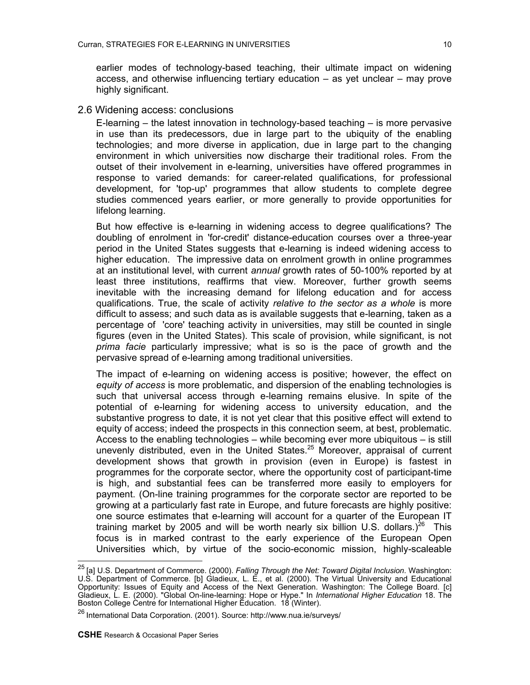earlier modes of technology-based teaching, their ultimate impact on widening access, and otherwise influencing tertiary education – as yet unclear – may prove highly significant.

### 2.6 Widening access: conclusions

E-learning – the latest innovation in technology-based teaching – is more pervasive in use than its predecessors, due in large part to the ubiquity of the enabling technologies; and more diverse in application, due in large part to the changing environment in which universities now discharge their traditional roles. From the outset of their involvement in e-learning, universities have offered programmes in response to varied demands: for career-related qualifications, for professional development, for 'top-up' programmes that allow students to complete degree studies commenced years earlier, or more generally to provide opportunities for lifelong learning.

But how effective is e-learning in widening access to degree qualifications? The doubling of enrolment in 'for-credit' distance-education courses over a three-year period in the United States suggests that e-learning is indeed widening access to higher education. The impressive data on enrolment growth in online programmes at an institutional level, with current *annual* growth rates of 50-100% reported by at least three institutions, reaffirms that view. Moreover, further growth seems inevitable with the increasing demand for lifelong education and for access qualifications. True, the scale of activity *relative to the sector as a whole* is more difficult to assess; and such data as is available suggests that e-learning, taken as a percentage of 'core' teaching activity in universities, may still be counted in single figures (even in the United States). This scale of provision, while significant, is not *prima facie* particularly impressive; what is so is the pace of growth and the pervasive spread of e-learning among traditional universities.

The impact of e-learning on widening access is positive; however, the effect on *equity of access* is more problematic, and dispersion of the enabling technologies is such that universal access through e-learning remains elusive. In spite of the potential of e-learning for widening access to university education, and the substantive progress to date, it is not yet clear that this positive effect will extend to equity of access; indeed the prospects in this connection seem, at best, problematic. Access to the enabling technologies – while becoming ever more ubiquitous – is still unevenly distributed, even in the United States.<sup>25</sup> Moreover, appraisal of current development shows that growth in provision (even in Europe) is fastest in programmes for the corporate sector, where the opportunity cost of participant-time is high, and substantial fees can be transferred more easily to employers for payment. (On-line training programmes for the corporate sector are reported to be growing at a particularly fast rate in Europe, and future forecasts are highly positive: one source estimates that e-learning will account for a quarter of the European IT training market by 2005 and will be worth nearly six billion U.S. dollars.)<sup>26</sup> This focus is in marked contrast to the early experience of the European Open Universities which, by virtue of the socio-economic mission, highly-scaleable

<span id="page-9-0"></span><sup>25 [</sup>a] U.S. Department of Commerce. (2000). *Falling Through the Net: Toward Digital Inclusion*. Washington: U.S. Department of Commerce. [b] Gladieux, L. E., et al. (2000). The Virtual University and Educational Opportunity: Issues of Equity and Access of the Next Generation. Washington: The College Board. [c] Gladieux, L. E. (2000). "Global On-line-learning: Hope or Hype." In *International Higher Education* 18. The Boston College Centre for International Higher Education. 18 (Winter).

<span id="page-9-1"></span><sup>26</sup> International Data Corporation. (2001). Source: http://www.nua.ie/surveys/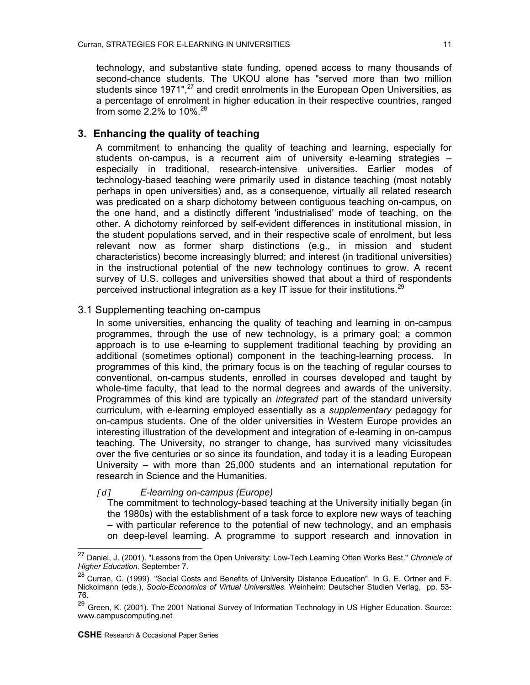technology, and substantive state funding, opened access to many thousands of second-chance students. The UKOU alone has "served more than two million students since 1971".<sup>27</sup> and credit enrolments in the European Open Universities, as a percentage of enrolment in higher education in their respective countries, ranged from some 2.2% to 10%.[28](#page-10-1) 

# **3. Enhancing the quality of teaching**

A commitment to enhancing the quality of teaching and learning, especially for students on-campus, is a recurrent aim of university e-learning strategies – especially in traditional, research-intensive universities. Earlier modes of technology-based teaching were primarily used in distance teaching (most notably perhaps in open universities) and, as a consequence, virtually all related research was predicated on a sharp dichotomy between contiguous teaching on-campus, on the one hand, and a distinctly different 'industrialised' mode of teaching, on the other. A dichotomy reinforced by self-evident differences in institutional mission, in the student populations served, and in their respective scale of enrolment, but less relevant now as former sharp distinctions (e.g., in mission and student characteristics) become increasingly blurred; and interest (in traditional universities) in the instructional potential of the new technology continues to grow. A recent survey of U.S. colleges and universities showed that about a third of respondents perceived instructional integration as a key IT issue for their institutions.<sup>29</sup>

# 3.1 Supplementing teaching on-campus

In some universities, enhancing the quality of teaching and learning in on-campus programmes, through the use of new technology, is a primary goal; a common approach is to use e-learning to supplement traditional teaching by providing an additional (sometimes optional) component in the teaching-learning process. In programmes of this kind, the primary focus is on the teaching of regular courses to conventional, on-campus students, enrolled in courses developed and taught by whole-time faculty, that lead to the normal degrees and awards of the university. Programmes of this kind are typically an *integrated* part of the standard university curriculum, with e-learning employed essentially as a *supplementary* pedagogy for on-campus students. One of the older universities in Western Europe provides an interesting illustration of the development and integration of e-learning in on-campus teaching. The University, no stranger to change, has survived many vicissitudes over the five centuries or so since its foundation, and today it is a leading European University – with more than 25,000 students and an international reputation for research in Science and the Humanities.

# *[d] E-learning on-campus (Europe)*

The commitment to technology-based teaching at the University initially began (in the 1980s) with the establishment of a task force to explore new ways of teaching – with particular reference to the potential of new technology, and an emphasis on deep-level learning. A programme to support research and innovation in

 $\overline{a}$ 

<span id="page-10-0"></span><sup>27</sup> Daniel, J. (2001). "Lessons from the Open University: Low-Tech Learning Often Works Best." *Chronicle of Higher Education.* September 7.

<span id="page-10-1"></span><sup>&</sup>lt;sup>28</sup> Curran, C. (1999). "Social Costs and Benefits of University Distance Education". In G. E. Ortner and F. Nickolmann (eds.), *Socio-Economics of Virtual Universities.* Weinheim: Deutscher Studien Verlag, pp. 53- 76.

<span id="page-10-2"></span><sup>&</sup>lt;sup>29</sup> Green, K. (2001). The 2001 National Survey of Information Technology in US Higher Education. Source: www.campuscomputing.net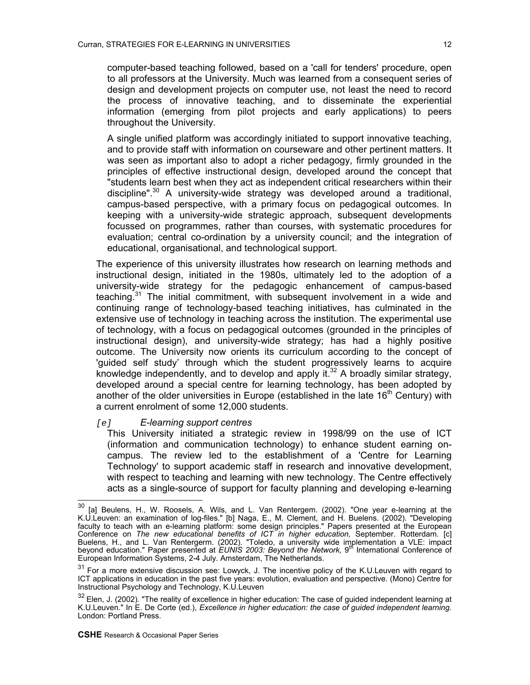computer-based teaching followed, based on a 'call for tenders' procedure, open to all professors at the University. Much was learned from a consequent series of design and development projects on computer use, not least the need to record the process of innovative teaching, and to disseminate the experiential information (emerging from pilot projects and early applications) to peers throughout the University.

A single unified platform was accordingly initiated to support innovative teaching, and to provide staff with information on courseware and other pertinent matters. It was seen as important also to adopt a richer pedagogy, firmly grounded in the principles of effective instructional design, developed around the concept that "students learn best when they act as independent critical researchers within their discipline".<sup>[30](#page-11-0)</sup> A university-wide strategy was developed around a traditional, campus-based perspective, with a primary focus on pedagogical outcomes. In keeping with a university-wide strategic approach, subsequent developments focussed on programmes, rather than courses, with systematic procedures for evaluation; central co-ordination by a university council; and the integration of educational, organisational, and technological support.

The experience of this university illustrates how research on learning methods and instructional design, initiated in the 1980s, ultimately led to the adoption of a university-wide strategy for the pedagogic enhancement of campus-based teaching.<sup>31</sup> The initial commitment, with subsequent involvement in a wide and continuing range of technology-based teaching initiatives, has culminated in the extensive use of technology in teaching across the institution. The experimental use of technology, with a focus on pedagogical outcomes (grounded in the principles of instructional design), and university-wide strategy; has had a highly positive outcome. The University now orients its curriculum according to the concept of 'guided self study' through which the student progressively learns to acquire knowledge independently, and to develop and apply it.<sup>32</sup> A broadly similar strategy, developed around a special centre for learning technology, has been adopted by another of the older universities in Europe (established in the late  $16<sup>th</sup>$  Century) with a current enrolment of some 12,000 students.

#### *[e] E-learning support centres*

This University initiated a strategic review in 1998/99 on the use of ICT (information and communication technology) to enhance student earning oncampus. The review led to the establishment of a 'Centre for Learning Technology' to support academic staff in research and innovative development, with respect to teaching and learning with new technology. The Centre effectively acts as a single-source of support for faculty planning and developing e-learning

<span id="page-11-0"></span><sup>30</sup>  $30$  [a] Beulens, H., W. Roosels, A. Wils, and L. Van Rentergem. (2002). "One year e-learning at the K.U.Leuven: an examination of log-files." [b] Naga, E., M. Clement, and H. Buelens. (2002). "Developing faculty to teach with an e-learning platform: some design principles." Papers presented at the European Conference on *The new educational benefits of ICT in higher education,* September. Rotterdam. [c] Buelens, H., and L. Van Rentergerm. (2002). "Toledo, a university wide implementation a VLE: impact<br>beyond education." Paper presented at *EUNIS 2003: Beyond the Network,* 9<sup>th</sup> International Conference of European Information Systems, 2-4 July. Amsterdam, The Netherlands.

<span id="page-11-1"></span><sup>&</sup>lt;sup>31</sup> For a more extensive discussion see: Lowyck, J. The incentive policy of the K.U.Leuven with regard to ICT applications in education in the past five years: evolution, evaluation and perspective. (Mono) Centre for Instructional Psychology and Technology, K.U.Leuven

<span id="page-11-2"></span> $32$  Elen, J. (2002). "The reality of excellence in higher education: The case of guided independent learning at K.U.Leuven." In E. De Corte (ed.), *Excellence in higher education: the case of guided independent learning.* London: Portland Press.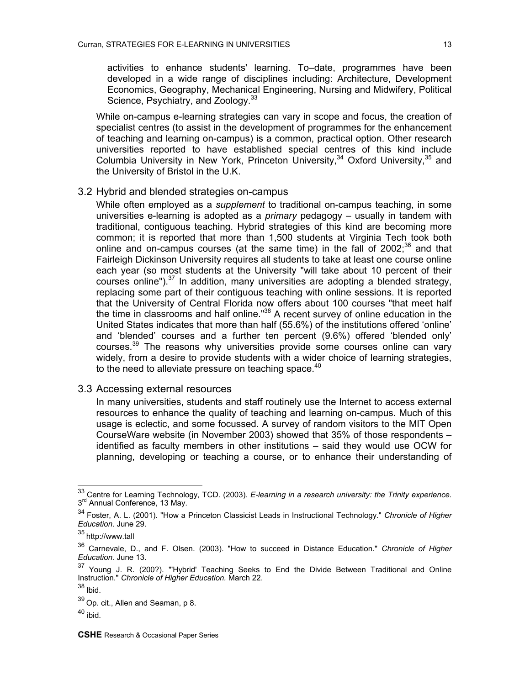activities to enhance students' learning. To–date, programmes have been developed in a wide range of disciplines including: Architecture, Development Economics, Geography, Mechanical Engineering, Nursing and Midwifery, Political Science, Psychiatry, and Zoology.<sup>33</sup>

While on-campus e-learning strategies can vary in scope and focus, the creation of specialist centres (to assist in the development of programmes for the enhancement of teaching and learning on-campus) is a common, practical option. Other research universities reported to have established special centres of this kind include Columbia University in New York, Princeton University,  $34$  Oxford University,  $35$  and the University of Bristol in the U.K.

# 3.2 Hybrid and blended strategies on-campus

While often employed as a *supplement* to traditional on-campus teaching, in some universities e-learning is adopted as a *primary* pedagogy – usually in tandem with traditional, contiguous teaching. Hybrid strategies of this kind are becoming more common; it is reported that more than 1,500 students at Virginia Tech took both online and on-campus courses (at the same time) in the fall of  $2002$ ;<sup>36</sup> and that Fairleigh Dickinson University requires all students to take at least one course online each year (so most students at the University "will take about 10 percent of their courses online").[37](#page-12-4) In addition, many universities are adopting a blended strategy, replacing some part of their contiguous teaching with online sessions. It is reported that the University of Central Florida now offers about 100 courses "that meet half the time in classrooms and half online."<sup>38</sup> A recent survey of online education in the United States indicates that more than half (55.6%) of the institutions offered 'online' and 'blended' courses and a further ten percent (9.6%) offered 'blended only' courses.[39](#page-12-6) The reasons why universities provide some courses online can vary widely, from a desire to provide students with a wider choice of learning strategies, to the need to alleviate pressure on teaching space.<sup>40</sup>

#### 3.3 Accessing external resources

In many universities, students and staff routinely use the Internet to access external resources to enhance the quality of teaching and learning on-campus. Much of this usage is eclectic, and some focussed. A survey of random visitors to the MIT Open CourseWare website (in November 2003) showed that 35% of those respondents – identified as faculty members in other institutions – said they would use OCW for planning, developing or teaching a course, or to enhance their understanding of

 $\overline{a}$ 

<span id="page-12-0"></span><sup>33</sup> Centre for Learning Technology, TCD. (2003). *E-learning in a research university: the Trinity experience*. 3<sup>rd</sup> Annual Conference, 13 May.

<span id="page-12-1"></span><sup>34</sup> Foster, A. L. (2001). "How a Princeton Classicist Leads in Instructional Technology." *Chronicle of Higher Education*. June 29.

<span id="page-12-2"></span><sup>35</sup> http://www.tall

<span id="page-12-3"></span><sup>36</sup> Carnevale, D., and F. Olsen. (2003). "How to succeed in Distance Education." *Chronicle of Higher Education.* June 13.

<span id="page-12-4"></span> $37$  Young J. R. (200?). "'Hybrid' Teaching Seeks to End the Divide Between Traditional and Online Instruction." *Chronicle of Higher Education.* March 22.

<span id="page-12-5"></span><sup>38</sup> Ibid.

<span id="page-12-6"></span><sup>39</sup> Op. cit., Allen and Seaman, p 8.

<span id="page-12-7"></span> $40$  ibid.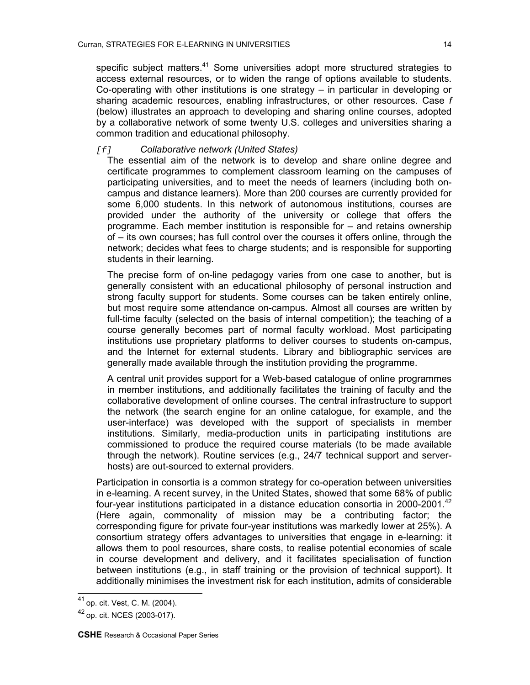specific subject matters.<sup>[41](#page-13-0)</sup> Some universities adopt more structured strategies to access external resources, or to widen the range of options available to students. Co-operating with other institutions is one strategy – in particular in developing or sharing academic resources, enabling infrastructures, or other resources. Case *f* (below) illustrates an approach to developing and sharing online courses, adopted by a collaborative network of some twenty U.S. colleges and universities sharing a common tradition and educational philosophy.

## *[f] Collaborative network (United States)*

The essential aim of the network is to develop and share online degree and certificate programmes to complement classroom learning on the campuses of participating universities, and to meet the needs of learners (including both oncampus and distance learners). More than 200 courses are currently provided for some 6,000 students. In this network of autonomous institutions, courses are provided under the authority of the university or college that offers the programme. Each member institution is responsible for – and retains ownership of – its own courses; has full control over the courses it offers online, through the network; decides what fees to charge students; and is responsible for supporting students in their learning.

The precise form of on-line pedagogy varies from one case to another, but is generally consistent with an educational philosophy of personal instruction and strong faculty support for students. Some courses can be taken entirely online, but most require some attendance on-campus. Almost all courses are written by full-time faculty (selected on the basis of internal competition); the teaching of a course generally becomes part of normal faculty workload. Most participating institutions use proprietary platforms to deliver courses to students on-campus, and the Internet for external students. Library and bibliographic services are generally made available through the institution providing the programme.

A central unit provides support for a Web-based catalogue of online programmes in member institutions, and additionally facilitates the training of faculty and the collaborative development of online courses. The central infrastructure to support the network (the search engine for an online catalogue, for example, and the user-interface) was developed with the support of specialists in member institutions. Similarly, media-production units in participating institutions are commissioned to produce the required course materials (to be made available through the network). Routine services (e.g., 24/7 technical support and serverhosts) are out-sourced to external providers.

Participation in consortia is a common strategy for co-operation between universities in e-learning. A recent survey, in the United States, showed that some 68% of public four-year institutions participated in a distance education consortia in 2000-2001.<sup>42</sup> (Here again, commonality of mission may be a contributing factor; the corresponding figure for private four-year institutions was markedly lower at 25%). A consortium strategy offers advantages to universities that engage in e-learning: it allows them to pool resources, share costs, to realise potential economies of scale in course development and delivery, and it facilitates specialisation of function between institutions (e.g., in staff training or the provision of technical support). It additionally minimises the investment risk for each institution, admits of considerable

<span id="page-13-0"></span><sup>&</sup>lt;sup>41</sup> op. cit. Vest, C. M. (2004).

<span id="page-13-1"></span><sup>42</sup> op. cit. NCES (2003-017).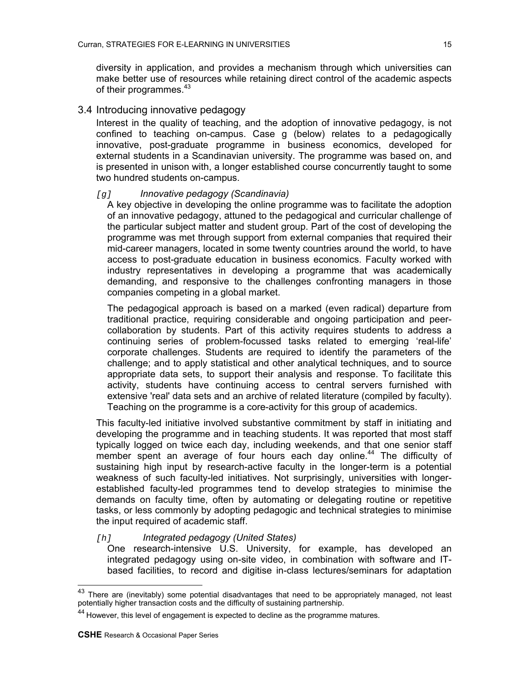diversity in application, and provides a mechanism through which universities can make better use of resources while retaining direct control of the academic aspects of their programmes.<sup>43</sup>

# 3.4 Introducing innovative pedagogy

Interest in the quality of teaching, and the adoption of innovative pedagogy, is not confined to teaching on-campus. Case g (below) relates to a pedagogically innovative, post-graduate programme in business economics, developed for external students in a Scandinavian university. The programme was based on, and is presented in unison with, a longer established course concurrently taught to some two hundred students on-campus.

#### *[g] Innovative pedagogy (Scandinavia)*

A key objective in developing the online programme was to facilitate the adoption of an innovative pedagogy, attuned to the pedagogical and curricular challenge of the particular subject matter and student group. Part of the cost of developing the programme was met through support from external companies that required their mid-career managers, located in some twenty countries around the world, to have access to post-graduate education in business economics. Faculty worked with industry representatives in developing a programme that was academically demanding, and responsive to the challenges confronting managers in those companies competing in a global market.

The pedagogical approach is based on a marked (even radical) departure from traditional practice, requiring considerable and ongoing participation and peercollaboration by students. Part of this activity requires students to address a continuing series of problem-focussed tasks related to emerging 'real-life' corporate challenges. Students are required to identify the parameters of the challenge; and to apply statistical and other analytical techniques, and to source appropriate data sets, to support their analysis and response. To facilitate this activity, students have continuing access to central servers furnished with extensive 'real' data sets and an archive of related literature (compiled by faculty). Teaching on the programme is a core-activity for this group of academics.

This faculty-led initiative involved substantive commitment by staff in initiating and developing the programme and in teaching students. It was reported that most staff typically logged on twice each day, including weekends, and that one senior staff member spent an average of four hours each day online.<sup>44</sup> The difficulty of sustaining high input by research-active faculty in the longer-term is a potential weakness of such faculty-led initiatives. Not surprisingly, universities with longerestablished faculty-led programmes tend to develop strategies to minimise the demands on faculty time, often by automating or delegating routine or repetitive tasks, or less commonly by adopting pedagogic and technical strategies to minimise the input required of academic staff.

## *[h] Integrated pedagogy (United States)*

One research-intensive U.S. University, for example, has developed an integrated pedagogy using on-site video, in combination with software and ITbased facilities, to record and digitise in-class lectures/seminars for adaptation

<span id="page-14-0"></span> $^{43}$  There are (inevitably) some potential disadvantages that need to be appropriately managed, not least potentially higher transaction costs and the difficulty of sustaining partnership.

<span id="page-14-1"></span><sup>44</sup> However, this level of engagement is expected to decline as the programme matures.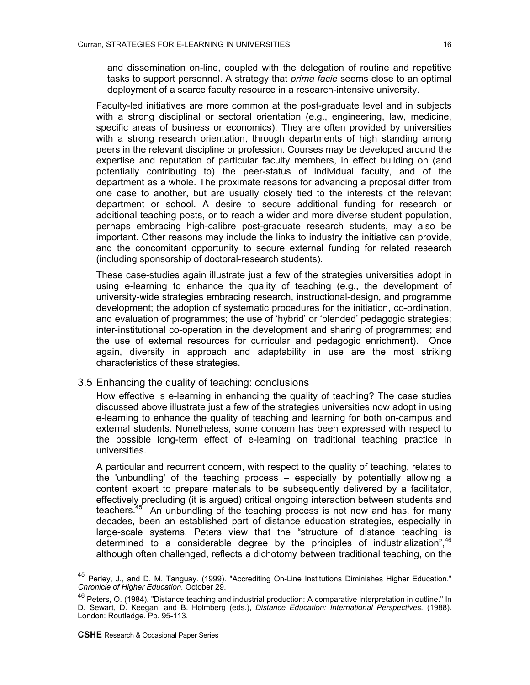and dissemination on-line, coupled with the delegation of routine and repetitive tasks to support personnel. A strategy that *prima facie* seems close to an optimal deployment of a scarce faculty resource in a research-intensive university.

Faculty-led initiatives are more common at the post-graduate level and in subjects with a strong disciplinal or sectoral orientation (e.g., engineering, law, medicine, specific areas of business or economics). They are often provided by universities with a strong research orientation, through departments of high standing among peers in the relevant discipline or profession. Courses may be developed around the expertise and reputation of particular faculty members, in effect building on (and potentially contributing to) the peer-status of individual faculty, and of the department as a whole. The proximate reasons for advancing a proposal differ from one case to another, but are usually closely tied to the interests of the relevant department or school. A desire to secure additional funding for research or additional teaching posts, or to reach a wider and more diverse student population, perhaps embracing high-calibre post-graduate research students, may also be important. Other reasons may include the links to industry the initiative can provide, and the concomitant opportunity to secure external funding for related research (including sponsorship of doctoral-research students).

These case-studies again illustrate just a few of the strategies universities adopt in using e-learning to enhance the quality of teaching (e.g., the development of university-wide strategies embracing research, instructional-design, and programme development; the adoption of systematic procedures for the initiation, co-ordination, and evaluation of programmes; the use of 'hybrid' or 'blended' pedagogic strategies; inter-institutional co-operation in the development and sharing of programmes; and the use of external resources for curricular and pedagogic enrichment). Once again, diversity in approach and adaptability in use are the most striking characteristics of these strategies.

# 3.5 Enhancing the quality of teaching: conclusions

How effective is e-learning in enhancing the quality of teaching? The case studies discussed above illustrate just a few of the strategies universities now adopt in using e-learning to enhance the quality of teaching and learning for both on-campus and external students. Nonetheless, some concern has been expressed with respect to the possible long-term effect of e-learning on traditional teaching practice in universities.

A particular and recurrent concern, with respect to the quality of teaching, relates to the 'unbundling' of the teaching process – especially by potentially allowing a content expert to prepare materials to be subsequently delivered by a facilitator, effectively precluding (it is argued) critical ongoing interaction between students and teachers[.45](#page-15-0) An unbundling of the teaching process is not new and has, for many decades, been an established part of distance education strategies, especially in large-scale systems. Peters view that the "structure of distance teaching is determined to a considerable degree by the principles of industrialization",<sup>[46](#page-15-1)</sup> although often challenged, reflects a dichotomy between traditional teaching, on the

<span id="page-15-0"></span><sup>&</sup>lt;sup>45</sup> Perley, J., and D. M. Tanguay. (1999). "Accrediting On-Line Institutions Diminishes Higher Education." *Chronicle of Higher Education.* October 29.

<span id="page-15-1"></span><sup>&</sup>lt;sup>46</sup> Peters, O. (1984). "Distance teaching and industrial production: A comparative interpretation in outline." In D. Sewart, D. Keegan, and B. Holmberg (eds.), *Distance Education: International Perspectives.* (1988). London: Routledge. Pp. 95-113.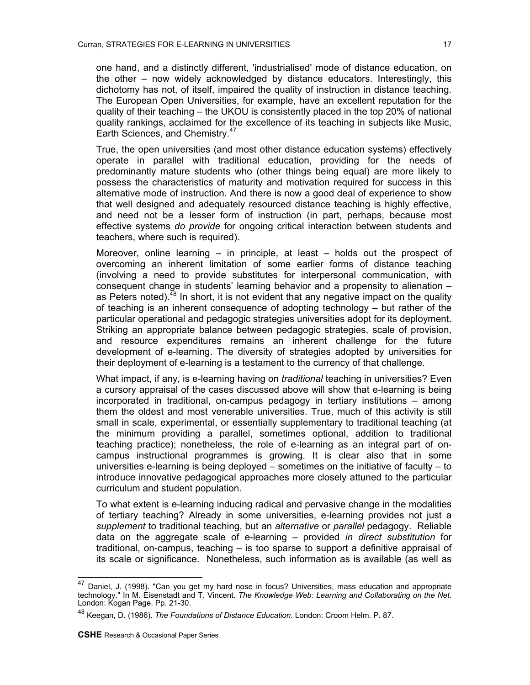one hand, and a distinctly different, 'industrialised' mode of distance education, on the other – now widely acknowledged by distance educators. Interestingly, this dichotomy has not, of itself, impaired the quality of instruction in distance teaching. The European Open Universities, for example, have an excellent reputation for the quality of their teaching – the UKOU is consistently placed in the top 20% of national quality rankings, acclaimed for the excellence of its teaching in subjects like Music, Earth Sciences, and Chemistry.<sup>47</sup>

True, the open universities (and most other distance education systems) effectively operate in parallel with traditional education, providing for the needs of predominantly mature students who (other things being equal) are more likely to possess the characteristics of maturity and motivation required for success in this alternative mode of instruction. And there is now a good deal of experience to show that well designed and adequately resourced distance teaching is highly effective, and need not be a lesser form of instruction (in part, perhaps, because most effective systems *do provide* for ongoing critical interaction between students and teachers, where such is required).

Moreover, online learning – in principle, at least – holds out the prospect of overcoming an inherent limitation of some earlier forms of distance teaching (involving a need to provide substitutes for interpersonal communication, with consequent change in students' learning behavior and a propensity to alienation – as Peters noted).<sup>48</sup> In short, it is not evident that any negative impact on the quality of teaching is an inherent consequence of adopting technology – but rather of the particular operational and pedagogic strategies universities adopt for its deployment. Striking an appropriate balance between pedagogic strategies, scale of provision, and resource expenditures remains an inherent challenge for the future development of e-learning. The diversity of strategies adopted by universities for their deployment of e-learning is a testament to the currency of that challenge.

What impact, if any, is e-learning having on *traditional* teaching in universities? Even a cursory appraisal of the cases discussed above will show that e-learning is being incorporated in traditional, on-campus pedagogy in tertiary institutions – among them the oldest and most venerable universities. True, much of this activity is still small in scale, experimental, or essentially supplementary to traditional teaching (at the minimum providing a parallel, sometimes optional, addition to traditional teaching practice); nonetheless, the role of e-learning as an integral part of oncampus instructional programmes is growing. It is clear also that in some universities e-learning is being deployed – sometimes on the initiative of faculty – to introduce innovative pedagogical approaches more closely attuned to the particular curriculum and student population.

To what extent is e-learning inducing radical and pervasive change in the modalities of tertiary teaching? Already in some universities, e-learning provides not just a *supplement* to traditional teaching, but an *alternative* or *parallel* pedagogy. Reliable data on the aggregate scale of e-learning – provided *in direct substitution* for traditional, on-campus, teaching – is too sparse to support a definitive appraisal of its scale or significance. Nonetheless, such information as is available (as well as

<span id="page-16-0"></span><sup>&</sup>lt;sup>47</sup> Daniel, J. (1998). "Can you get my hard nose in focus? Universities, mass education and appropriate technology." In M. Eisenstadt and T. Vincent. *The Knowledge Web: Learning and Collaborating on the Net.*  London: Kogan Page. Pp. 21-30.

<span id="page-16-1"></span><sup>48</sup> Keegan, D. (1986). *The Foundations of Distance Education.* London: Croom Helm. P. 87.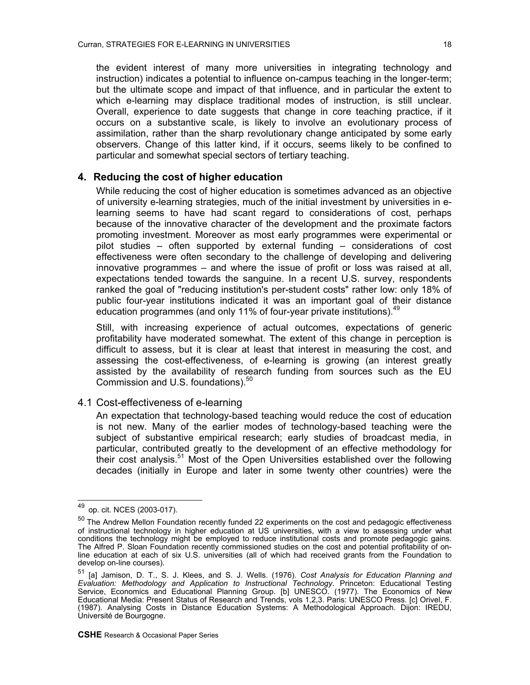the evident interest of many more universities in integrating technology and instruction) indicates a potential to influence on-campus teaching in the longer-term; but the ultimate scope and impact of that influence, and in particular the extent to which e-learning may displace traditional modes of instruction, is still unclear. Overall, experience to date suggests that change in core teaching practice, if it occurs on a substantive scale, is likely to involve an evolutionary process of assimilation, rather than the sharp revolutionary change anticipated by some early observers. Change of this latter kind, if it occurs, seems likely to be confined to particular and somewhat special sectors of tertiary teaching.

# **4. Reducing the cost of higher education**

While reducing the cost of higher education is sometimes advanced as an objective of university e-learning strategies, much of the initial investment by universities in elearning seems to have had scant regard to considerations of cost, perhaps because of the innovative character of the development and the proximate factors promoting investment. Moreover as most early programmes were experimental or pilot studies – often supported by external funding – considerations of cost effectiveness were often secondary to the challenge of developing and delivering innovative programmes – and where the issue of profit or loss was raised at all, expectations tended towards the sanguine. In a recent U.S. survey, respondents ranked the goal of "reducing institution's per-student costs" rather low: only 18% of public four-year institutions indicated it was an important goal of their distance education programmes (and only 11% of four-year private institutions).  $49$ 

Still, with increasing experience of actual outcomes, expectations of generic profitability have moderated somewhat. The extent of this change in perception is difficult to assess, but it is clear at least that interest in measuring the cost, and assessing the cost-effectiveness, of e-learning is growing (an interest greatly assisted by the availability of research funding from sources such as the EU Commission and U.S. foundations).<sup>50</sup>

# 4.1 Cost-effectiveness of e-learning

An expectation that technology-based teaching would reduce the cost of education is not new. Many of the earlier modes of technology-based teaching were the subject of substantive empirical research; early studies of broadcast media, in particular, contributed greatly to the development of an effective methodology for their cost analysis.<sup>[51](#page-17-2)</sup> Most of the Open Universities established over the following decades (initially in Europe and later in some twenty other countries) were the

<span id="page-17-0"></span><sup>49</sup> op. cit. NCES (2003-017).

<span id="page-17-1"></span><sup>&</sup>lt;sup>50</sup> The Andrew Mellon Foundation recently funded 22 experiments on the cost and pedagogic effectiveness of instructional technology in higher education at US universities, with a view to assessing under what conditions the technology might be employed to reduce institutional costs and promote pedagogic gains. The Alfred P. Sloan Foundation recently commissioned studies on the cost and potential profitability of online education at each of six U.S. universities (all of which had received grants from the Foundation to develop on-line courses).

<span id="page-17-2"></span><sup>51 [</sup>a] Jamison, D. T., S. J. Klees, and S. J. Wells. (1976). *Cost Analysis for Education Planning and Evaluation: Methodology and Application to Instructional Technology*. Princeton: Educational Testing Service, Economics and Educational Planning Group. [b] UNESCO. (1977). The Economics of New Educational Media: Present Status of Research and Trends, vols 1,2,3. Paris: UNESCO Press. [c] Orivel, F. (1987). Analysing Costs in Distance Education Systems: A Methodological Approach. Dijon: IREDU, Université de Bourgogne.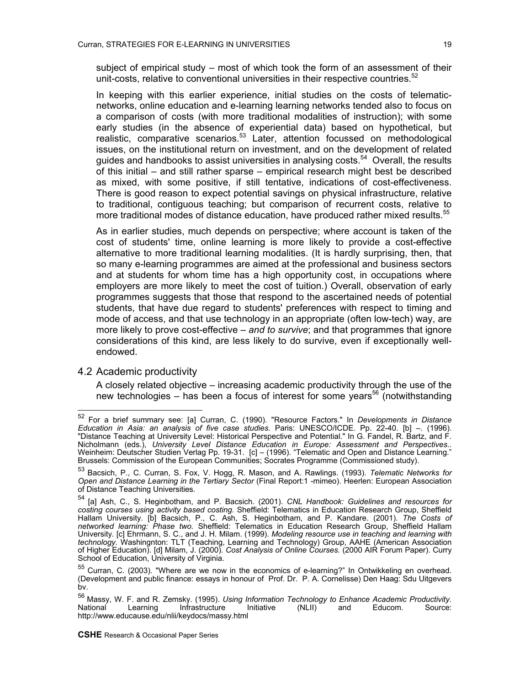subject of empirical study – most of which took the form of an assessment of their unit-costs, relative to conventional universities in their respective countries.<sup>52</sup>

In keeping with this earlier experience, initial studies on the costs of telematicnetworks, online education and e-learning learning networks tended also to focus on a comparison of costs (with more traditional modalities of instruction); with some early studies (in the absence of experiential data) based on hypothetical, but realistic, comparative scenarios.<sup>53</sup> Later, attention focussed on methodological issues, on the institutional return on investment, and on the development of related guides and handbooks to assist universities in analysing costs.[54](#page-18-2) Overall, the results of this initial – and still rather sparse – empirical research might best be described as mixed, with some positive, if still tentative, indications of cost-effectiveness. There is good reason to expect potential savings on physical infrastructure, relative to traditional, contiguous teaching; but comparison of recurrent costs, relative to more traditional modes of distance education, have produced rather mixed results.<sup>[55](#page-18-3)</sup>

As in earlier studies, much depends on perspective; where account is taken of the cost of students' time, online learning is more likely to provide a cost-effective alternative to more traditional learning modalities. (It is hardly surprising, then, that so many e-learning programmes are aimed at the professional and business sectors and at students for whom time has a high opportunity cost, in occupations where employers are more likely to meet the cost of tuition.) Overall, observation of early programmes suggests that those that respond to the ascertained needs of potential students, that have due regard to students' preferences with respect to timing and mode of access, and that use technology in an appropriate (often low-tech) way, are more likely to prove cost-effective – *and to survive*; and that programmes that ignore considerations of this kind, are less likely to do survive, even if exceptionally wellendowed.

### 4.2 Academic productivity

 $\overline{\phantom{a}}$ 

A closely related objective – increasing academic productivity through the use of the new technologies – has been a focus of interest for some years<sup>56</sup> (notwithstanding

<span id="page-18-0"></span><sup>52</sup> For a brief summary see: [a] Curran, C. (1990). "Resource Factors." In *Developments in Distance Education in Asia: an analysis of five case studies.* Paris: UNESCO/ICDE. Pp. 22-40. [b] –. (1996). "Distance Teaching at University Level: Historical Perspective and Potential." In G. Fandel, R. Bartz, and F. Nicholmann (eds.), *University Level Distance Education in Europe: Assessment and Perspectives*.. Weinheim: Deutscher Studien Verlag Pp. 19-31. [c] – (1996). "Telematic and Open and Distance Learning." Brussels: Commission of the European Communities; Socrates Programme (Commissioned study).

<span id="page-18-1"></span><sup>53</sup> Bacsich, P., C. Curran, S. Fox, V. Hogg, R. Mason, and A. Rawlings. (1993). *Telematic Networks for Open and Distance Learning in the Tertiary Sector* (Final Report:1 -mimeo). Heerlen: European Association of Distance Teaching Universities.

<span id="page-18-2"></span><sup>54 [</sup>a] Ash, C., S. Heginbotham, and P. Bacsich. (2001). *CNL Handbook: Guidelines and resources for costing courses using activity based costing.* Sheffield: Telematics in Education Research Group, Sheffield Hallam University. [b] Bacsich, P., C. Ash, S. Heginbotham, and P. Kandare. (2001). *The Costs of networked learning: Phase two.* Sheffield: Telematics in Education Research Group, Sheffield Hallam University. [c] Ehrmann, S. C., and J. H. Milam. (1999). *Modeling resource use in teaching and learning with technology.* Washingnton: TLT (Teaching, Learning and Technology) Group, AAHE (American Association of Higher Education). [d] Milam, J. (2000). *Cost Analysis of Online Courses.* (2000 AIR Forum Paper). Curry School of Education, University of Virginia.

<span id="page-18-3"></span><sup>55</sup> Curran, C. (2003). "Where are we now in the economics of e-learning?" In Ontwikkeling en overhead. (Development and public finance: essays in honour of Prof. Dr. P. A. Cornelisse) Den Haag: Sdu Uitgevers bv.

<span id="page-18-4"></span><sup>56</sup> Massy, W. F. and R. Zemsky. (1995). *Using Information Technology to Enhance Academic Productivity.*  Infrastructure http://www.educause.edu/nlii/keydocs/massy.html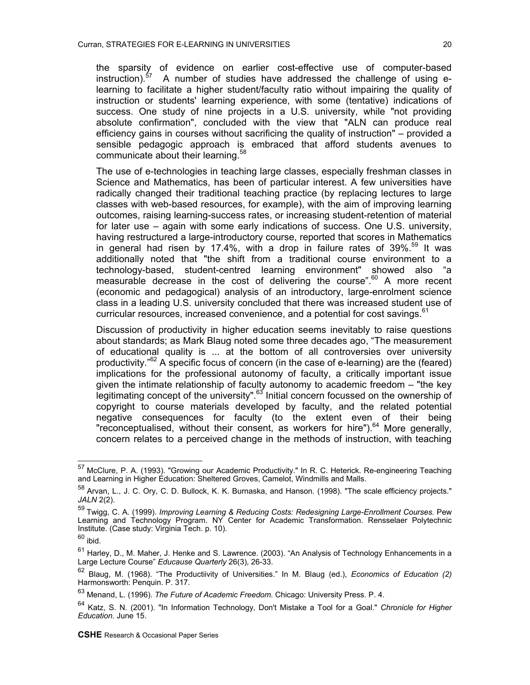the sparsity of evidence on earlier cost-effective use of computer-based instruction).<sup>[57](#page-19-0)</sup> A number of studies have addressed the challenge of using elearning to facilitate a higher student/faculty ratio without impairing the quality of instruction or students' learning experience, with some (tentative) indications of success. One study of nine projects in a U.S. university, while "not providing absolute confirmation", concluded with the view that "ALN can produce real efficiency gains in courses without sacrificing the quality of instruction" – provided a sensible pedagogic approach is embraced that afford students avenues to communicate about their learning.<sup>58</sup>

The use of e-technologies in teaching large classes, especially freshman classes in Science and Mathematics, has been of particular interest. A few universities have radically changed their traditional teaching practice (by replacing lectures to large classes with web-based resources, for example), with the aim of improving learning outcomes, raising learning-success rates, or increasing student-retention of material for later use – again with some early indications of success. One U.S. university, having restructured a large-introductory course, reported that scores in Mathematics in general had risen by 17.4%, with a drop in failure rates of  $39\%$ .<sup>59</sup> It was additionally noted that "the shift from a traditional course environment to a technology-based, student-centred learning environment" showed also "a measurable decrease in the cost of delivering the course". $60$  A more recent (economic and pedagogical) analysis of an introductory, large-enrolment science class in a leading U.S. university concluded that there was increased student use of curricular resources, increased convenience, and a potential for cost savings.<sup>[61](#page-19-4)</sup>

Discussion of productivity in higher education seems inevitably to raise questions about standards; as Mark Blaug noted some three decades ago, "The measurement of educational quality is ... at the bottom of all controversies over university productivity."[62](#page-19-5) A specific focus of concern (in the case of e-learning) are the (feared) implications for the professional autonomy of faculty, a critically important issue given the intimate relationship of faculty autonomy to academic freedom – "the key legitimating concept of the university". $63$  Initial concern focussed on the ownership of copyright to course materials developed by faculty, and the related potential negative consequences for faculty (to the extent even of their being "reconceptualised, without their consent, as workers for hire").<sup>64</sup> More generally, concern relates to a perceived change in the methods of instruction, with teaching

<span id="page-19-0"></span><sup>57</sup> <sup>57</sup> McClure, P. A. (1993). "Growing our Academic Productivity." In R. C. Heterick. Re-engineering Teaching and Learning in Higher Education: Sheltered Groves, Camelot, Windmills and Malls.

<span id="page-19-1"></span><sup>58</sup> Arvan, L., J. C. Ory, C. D. Bullock, K. K. Burnaska, and Hanson. (1998). "The scale efficiency projects." *JALN* 2(2).

<span id="page-19-2"></span><sup>&</sup>lt;sup>59</sup> Twigg, C. A. (1999). *Improving Learning & Reducing Costs: Redesigning Large-Enrollment Courses.* Pew Learning and Technology Program. NY Center for Academic Transformation. Rensselaer Polytechnic Institute. (Case study: Virginia Tech. p. 10).

<span id="page-19-3"></span> $60$  ibid.

<span id="page-19-4"></span> $61$  Harley, D., M. Maher, J. Henke and S. Lawrence. (2003). "An Analysis of Technology Enhancements in a Large Lecture Course" *Educause Quarterly* 26(3), 26-33.

<span id="page-19-5"></span><sup>62</sup> Blaug, M. (1968). "The Productiivity of Universities." In M. Blaug (ed.), *Economics of Education (2)*  Harmonsworth: Penquin. P. 317.

<span id="page-19-6"></span><sup>63</sup> Menand, L. (1996). *The Future of Academic Freedom.* Chicago: University Press. P. 4.

<span id="page-19-7"></span><sup>64</sup> Katz, S. N. (2001). "In Information Technology, Don't Mistake a Tool for a Goal." *Chronicle for Higher Education.* June 15.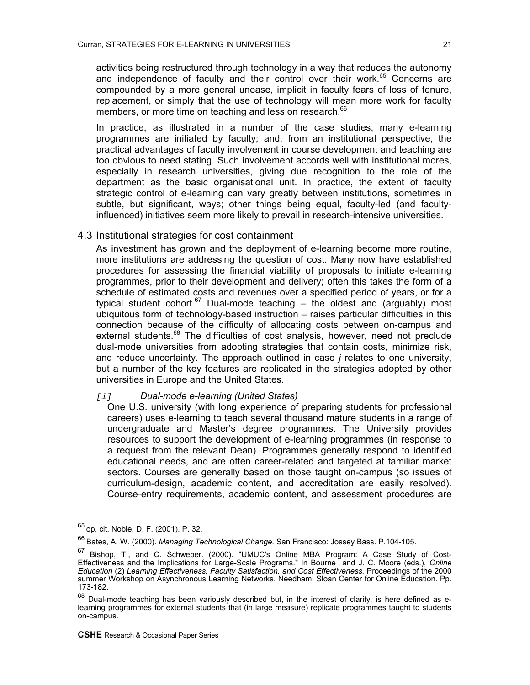activities being restructured through technology in a way that reduces the autonomy and independence of faculty and their control over their work.<sup>65</sup> Concerns are compounded by a more general unease, implicit in faculty fears of loss of tenure, replacement, or simply that the use of technology will mean more work for faculty members, or more time on teaching and less on research.<sup>[66](#page-20-1)</sup>

In practice, as illustrated in a number of the case studies, many e-learning programmes are initiated by faculty; and, from an institutional perspective, the practical advantages of faculty involvement in course development and teaching are too obvious to need stating. Such involvement accords well with institutional mores, especially in research universities, giving due recognition to the role of the department as the basic organisational unit. In practice, the extent of faculty strategic control of e-learning can vary greatly between institutions, sometimes in subtle, but significant, ways; other things being equal, faculty-led (and facultyinfluenced) initiatives seem more likely to prevail in research-intensive universities.

## 4.3 Institutional strategies for cost containment

As investment has grown and the deployment of e-learning become more routine, more institutions are addressing the question of cost. Many now have established procedures for assessing the financial viability of proposals to initiate e-learning programmes, prior to their development and delivery; often this takes the form of a schedule of estimated costs and revenues over a specified period of years, or for a typical student cohort.<sup>67</sup> Dual-mode teaching  $-$  the oldest and (arguably) most ubiquitous form of technology-based instruction – raises particular difficulties in this connection because of the difficulty of allocating costs between on-campus and external students.<sup>68</sup> The difficulties of cost analysis, however, need not preclude dual-mode universities from adopting strategies that contain costs, minimize risk, and reduce uncertainty. The approach outlined in case *j* relates to one university, but a number of the key features are replicated in the strategies adopted by other universities in Europe and the United States.

#### *[i] Dual-mode e-learning (United States)*

One U.S. university (with long experience of preparing students for professional careers) uses e-learning to teach several thousand mature students in a range of undergraduate and Master's degree programmes. The University provides resources to support the development of e-learning programmes (in response to a request from the relevant Dean). Programmes generally respond to identified educational needs, and are often career-related and targeted at familiar market sectors. Courses are generally based on those taught on-campus (so issues of curriculum-design, academic content, and accreditation are easily resolved). Course-entry requirements, academic content, and assessment procedures are

<span id="page-20-0"></span><sup>&</sup>lt;sup>65</sup> op. cit. Noble, D. F. (2001). P. 32.

<span id="page-20-1"></span><sup>66</sup> Bates, A. W. (2000). *Managing Technological Change.* San Francisco: Jossey Bass. P.104-105.

<span id="page-20-2"></span><sup>67</sup> Bishop, T., and C. Schweber. (2000). "UMUC's Online MBA Program: A Case Study of Cost-Effectiveness and the Implications for Large-Scale Programs." In Bourne and J. C. Moore (eds.), *Online Education* (2) *Learning Effectiveness, Faculty Satisfaction, and Cost Effectiveness.* Proceedings of the 2000 summer Workshop on Asynchronous Learning Networks. Needham: Sloan Center for Online Education. Pp. 173-182.

<span id="page-20-3"></span> $68$  Dual-mode teaching has been variously described but, in the interest of clarity, is here defined as elearning programmes for external students that (in large measure) replicate programmes taught to students on-campus.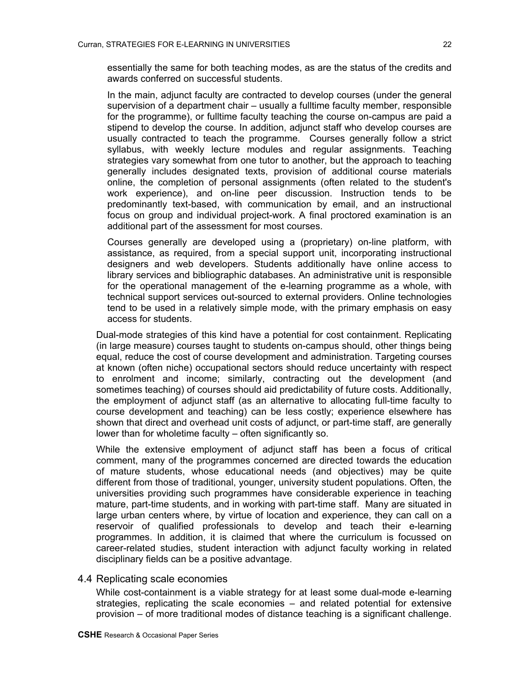essentially the same for both teaching modes, as are the status of the credits and awards conferred on successful students.

In the main, adjunct faculty are contracted to develop courses (under the general supervision of a department chair – usually a fulltime faculty member, responsible for the programme), or fulltime faculty teaching the course on-campus are paid a stipend to develop the course. In addition, adjunct staff who develop courses are usually contracted to teach the programme. Courses generally follow a strict syllabus, with weekly lecture modules and regular assignments. Teaching strategies vary somewhat from one tutor to another, but the approach to teaching generally includes designated texts, provision of additional course materials online, the completion of personal assignments (often related to the student's work experience), and on-line peer discussion. Instruction tends to be predominantly text-based, with communication by email, and an instructional focus on group and individual project-work. A final proctored examination is an additional part of the assessment for most courses.

Courses generally are developed using a (proprietary) on-line platform, with assistance, as required, from a special support unit, incorporating instructional designers and web developers. Students additionally have online access to library services and bibliographic databases. An administrative unit is responsible for the operational management of the e-learning programme as a whole, with technical support services out-sourced to external providers. Online technologies tend to be used in a relatively simple mode, with the primary emphasis on easy access for students.

Dual-mode strategies of this kind have a potential for cost containment. Replicating (in large measure) courses taught to students on-campus should, other things being equal, reduce the cost of course development and administration. Targeting courses at known (often niche) occupational sectors should reduce uncertainty with respect to enrolment and income; similarly, contracting out the development (and sometimes teaching) of courses should aid predictability of future costs. Additionally, the employment of adjunct staff (as an alternative to allocating full-time faculty to course development and teaching) can be less costly; experience elsewhere has shown that direct and overhead unit costs of adjunct, or part-time staff, are generally lower than for wholetime faculty – often significantly so.

While the extensive employment of adjunct staff has been a focus of critical comment, many of the programmes concerned are directed towards the education of mature students, whose educational needs (and objectives) may be quite different from those of traditional, younger, university student populations. Often, the universities providing such programmes have considerable experience in teaching mature, part-time students, and in working with part-time staff. Many are situated in large urban centers where, by virtue of location and experience, they can call on a reservoir of qualified professionals to develop and teach their e-learning programmes. In addition, it is claimed that where the curriculum is focussed on career-related studies, student interaction with adjunct faculty working in related disciplinary fields can be a positive advantage.

#### 4.4 Replicating scale economies

While cost-containment is a viable strategy for at least some dual-mode e-learning strategies, replicating the scale economies – and related potential for extensive provision – of more traditional modes of distance teaching is a significant challenge.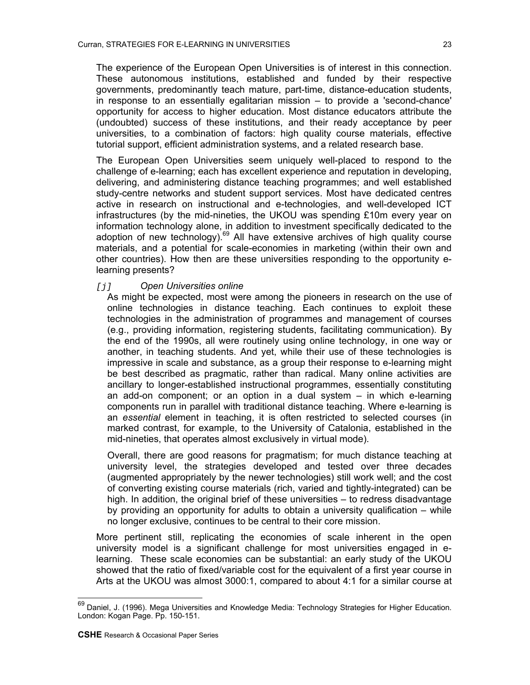The experience of the European Open Universities is of interest in this connection. These autonomous institutions, established and funded by their respective governments, predominantly teach mature, part-time, distance-education students, in response to an essentially egalitarian mission – to provide a 'second-chance' opportunity for access to higher education. Most distance educators attribute the (undoubted) success of these institutions, and their ready acceptance by peer universities, to a combination of factors: high quality course materials, effective tutorial support, efficient administration systems, and a related research base.

The European Open Universities seem uniquely well-placed to respond to the challenge of e-learning; each has excellent experience and reputation in developing, delivering, and administering distance teaching programmes; and well established study-centre networks and student support services. Most have dedicated centres active in research on instructional and e-technologies, and well-developed ICT infrastructures (by the mid-nineties, the UKOU was spending £10m every year on information technology alone, in addition to investment specifically dedicated to the adoption of new technology).<sup>69</sup> All have extensive archives of high quality course materials, and a potential for scale-economies in marketing (within their own and other countries). How then are these universities responding to the opportunity elearning presents?

## *[j] Open Universities online*

As might be expected, most were among the pioneers in research on the use of online technologies in distance teaching. Each continues to exploit these technologies in the administration of programmes and management of courses (e.g., providing information, registering students, facilitating communication). By the end of the 1990s, all were routinely using online technology, in one way or another, in teaching students. And yet, while their use of these technologies is impressive in scale and substance, as a group their response to e-learning might be best described as pragmatic, rather than radical. Many online activities are ancillary to longer-established instructional programmes, essentially constituting an add-on component; or an option in a dual system – in which e-learning components run in parallel with traditional distance teaching. Where e-learning is an *essential* element in teaching, it is often restricted to selected courses (in marked contrast, for example, to the University of Catalonia, established in the mid-nineties, that operates almost exclusively in virtual mode).

Overall, there are good reasons for pragmatism; for much distance teaching at university level, the strategies developed and tested over three decades (augmented appropriately by the newer technologies) still work well; and the cost of converting existing course materials (rich, varied and tightly-integrated) can be high. In addition, the original brief of these universities – to redress disadvantage by providing an opportunity for adults to obtain a university qualification – while no longer exclusive, continues to be central to their core mission.

More pertinent still, replicating the economies of scale inherent in the open university model is a significant challenge for most universities engaged in elearning. These scale economies can be substantial: an early study of the UKOU showed that the ratio of fixed/variable cost for the equivalent of a first year course in Arts at the UKOU was almost 3000:1, compared to about 4:1 for a similar course at

<span id="page-22-0"></span><sup>69</sup> Daniel, J. (1996). Mega Universities and Knowledge Media: Technology Strategies for Higher Education. London: Kogan Page. Pp. 150-151.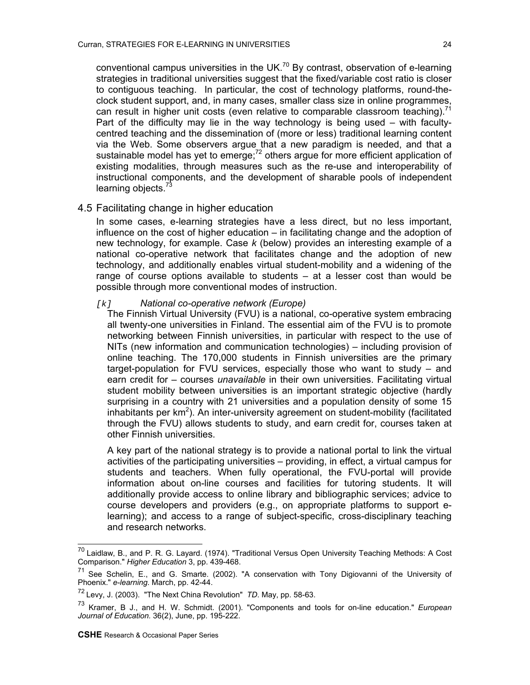conventional campus universities in the UK.<sup>70</sup> By contrast, observation of e-learning strategies in traditional universities suggest that the fixed/variable cost ratio is closer to contiguous teaching. In particular, the cost of technology platforms, round-theclock student support, and, in many cases, smaller class size in online programmes, can result in higher unit costs (even relative to comparable classroom teaching).<sup>[71](#page-23-1)</sup> Part of the difficulty may lie in the way technology is being used – with facultycentred teaching and the dissemination of (more or less) traditional learning content via the Web. Some observers argue that a new paradigm is needed, and that a sustainable model has yet to emerge;<sup>72</sup> others argue for more efficient application of existing modalities, through measures such as the re-use and interoperability of instructional components, and the development of sharable pools of independent learning objects.<sup>73</sup>

# 4.5 Facilitating change in higher education

In some cases, e-learning strategies have a less direct, but no less important. influence on the cost of higher education – in facilitating change and the adoption of new technology, for example. Case *k* (below) provides an interesting example of a national co-operative network that facilitates change and the adoption of new technology, and additionally enables virtual student-mobility and a widening of the range of course options available to students – at a lesser cost than would be possible through more conventional modes of instruction.

#### *[k] National co-operative network (Europe)*

The Finnish Virtual University (FVU) is a national, co-operative system embracing all twenty-one universities in Finland. The essential aim of the FVU is to promote networking between Finnish universities, in particular with respect to the use of NITs (new information and communication technologies) – including provision of online teaching. The 170,000 students in Finnish universities are the primary target-population for FVU services, especially those who want to study – and earn credit for – courses *unavailable* in their own universities. Facilitating virtual student mobility between universities is an important strategic objective (hardly surprising in a country with 21 universities and a population density of some 15 inhabitants per  $km^2$ ). An inter-university agreement on student-mobility (facilitated through the FVU) allows students to study, and earn credit for, courses taken at other Finnish universities.

A key part of the national strategy is to provide a national portal to link the virtual activities of the participating universities – providing, in effect, a virtual campus for students and teachers. When fully operational, the FVU-portal will provide information about on-line courses and facilities for tutoring students. It will additionally provide access to online library and bibliographic services; advice to course developers and providers (e.g., on appropriate platforms to support elearning); and access to a range of subject-specific, cross-disciplinary teaching and research networks.

<span id="page-23-0"></span><sup>&</sup>lt;sup>70</sup> Laidlaw, B., and P. R. G. Layard. (1974). "Traditional Versus Open University Teaching Methods: A Cost Comparison." *Higher Education* 3, pp. 439-468.

<span id="page-23-1"></span> $71$  See Schelin, E., and G. Smarte. (2002). "A conservation with Tony Digiovanni of the University of Phoenix." *e-learning*. March, pp. 42-44.

<span id="page-23-2"></span><sup>72</sup> Levy, J. (2003). "The Next China Revolution" *TD*. May, pp. 58-63.

<span id="page-23-3"></span><sup>73</sup> Kramer, B J., and H. W. Schmidt. (2001). "Components and tools for on-line education." *European Journal of Education.* 36(2), June, pp. 195-222.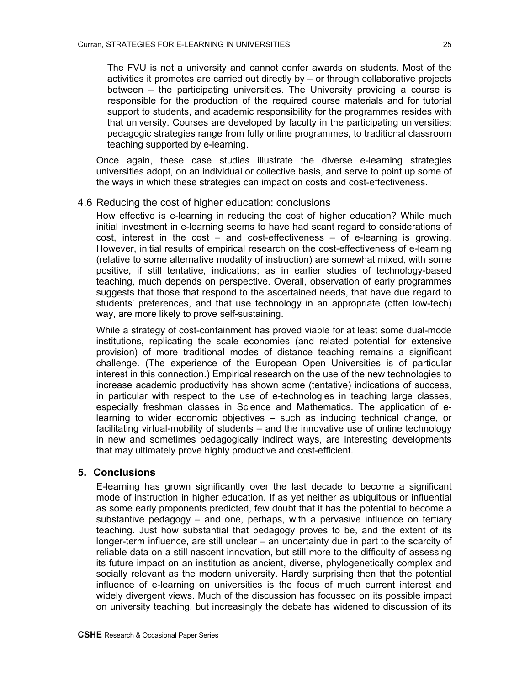The FVU is not a university and cannot confer awards on students. Most of the activities it promotes are carried out directly by – or through collaborative projects between – the participating universities. The University providing a course is responsible for the production of the required course materials and for tutorial support to students, and academic responsibility for the programmes resides with that university. Courses are developed by faculty in the participating universities; pedagogic strategies range from fully online programmes, to traditional classroom teaching supported by e-learning.

Once again, these case studies illustrate the diverse e-learning strategies universities adopt, on an individual or collective basis, and serve to point up some of the ways in which these strategies can impact on costs and cost-effectiveness.

# 4.6 Reducing the cost of higher education: conclusions

How effective is e-learning in reducing the cost of higher education? While much initial investment in e-learning seems to have had scant regard to considerations of cost, interest in the cost – and cost-effectiveness – of e-learning is growing. However, initial results of empirical research on the cost-effectiveness of e-learning (relative to some alternative modality of instruction) are somewhat mixed, with some positive, if still tentative, indications; as in earlier studies of technology-based teaching, much depends on perspective. Overall, observation of early programmes suggests that those that respond to the ascertained needs, that have due regard to students' preferences, and that use technology in an appropriate (often low-tech) way, are more likely to prove self-sustaining.

While a strategy of cost-containment has proved viable for at least some dual-mode institutions, replicating the scale economies (and related potential for extensive provision) of more traditional modes of distance teaching remains a significant challenge. (The experience of the European Open Universities is of particular interest in this connection.) Empirical research on the use of the new technologies to increase academic productivity has shown some (tentative) indications of success, in particular with respect to the use of e-technologies in teaching large classes, especially freshman classes in Science and Mathematics. The application of elearning to wider economic objectives – such as inducing technical change, or facilitating virtual-mobility of students – and the innovative use of online technology in new and sometimes pedagogically indirect ways, are interesting developments that may ultimately prove highly productive and cost-efficient.

### **5. Conclusions**

E-learning has grown significantly over the last decade to become a significant mode of instruction in higher education. If as yet neither as ubiquitous or influential as some early proponents predicted, few doubt that it has the potential to become a substantive pedagogy – and one, perhaps, with a pervasive influence on tertiary teaching. Just how substantial that pedagogy proves to be, and the extent of its longer-term influence, are still unclear – an uncertainty due in part to the scarcity of reliable data on a still nascent innovation, but still more to the difficulty of assessing its future impact on an institution as ancient, diverse, phylogenetically complex and socially relevant as the modern university. Hardly surprising then that the potential influence of e-learning on universities is the focus of much current interest and widely divergent views. Much of the discussion has focussed on its possible impact on university teaching, but increasingly the debate has widened to discussion of its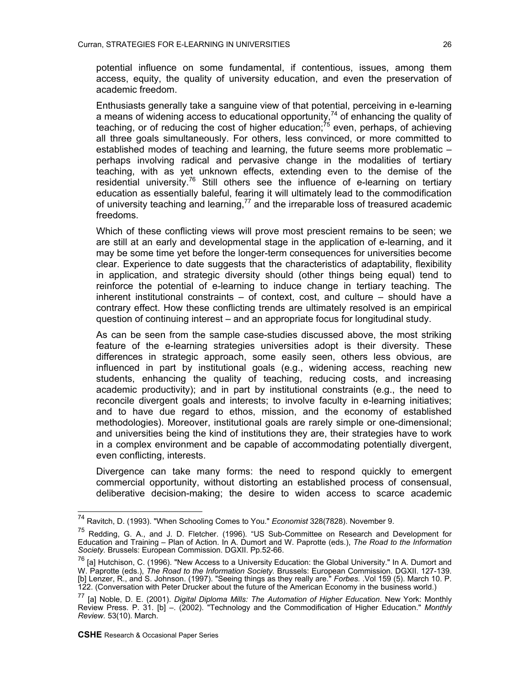potential influence on some fundamental, if contentious, issues, among them access, equity, the quality of university education, and even the preservation of academic freedom.

Enthusiasts generally take a sanguine view of that potential, perceiving in e-learning a means of widening access to educational opportunity,<sup>74</sup> of enhancing the quality of teaching, or of reducing the cost of higher education;<sup>75</sup> even, perhaps, of achieving all three goals simultaneously. For others, less convinced, or more committed to established modes of teaching and learning, the future seems more problematic – perhaps involving radical and pervasive change in the modalities of tertiary teaching, with as yet unknown effects, extending even to the demise of the residential university.<sup>76</sup> Still others see the influence of e-learning on tertiary education as essentially baleful, fearing it will ultimately lead to the commodification of university teaching and learning, $77$  and the irreparable loss of treasured academic freedoms.

Which of these conflicting views will prove most prescient remains to be seen; we are still at an early and developmental stage in the application of e-learning, and it may be some time yet before the longer-term consequences for universities become clear. Experience to date suggests that the characteristics of adaptability, flexibility in application, and strategic diversity should (other things being equal) tend to reinforce the potential of e-learning to induce change in tertiary teaching. The inherent institutional constraints – of context, cost, and culture – should have a contrary effect. How these conflicting trends are ultimately resolved is an empirical question of continuing interest – and an appropriate focus for longitudinal study.

As can be seen from the sample case-studies discussed above, the most striking feature of the e-learning strategies universities adopt is their diversity. These differences in strategic approach, some easily seen, others less obvious, are influenced in part by institutional goals (e.g., widening access, reaching new students, enhancing the quality of teaching, reducing costs, and increasing academic productivity); and in part by institutional constraints (e.g., the need to reconcile divergent goals and interests; to involve faculty in e-learning initiatives; and to have due regard to ethos, mission, and the economy of established methodologies). Moreover, institutional goals are rarely simple or one-dimensional; and universities being the kind of institutions they are, their strategies have to work in a complex environment and be capable of accommodating potentially divergent, even conflicting, interests.

Divergence can take many forms: the need to respond quickly to emergent commercial opportunity, without distorting an established process of consensual, deliberative decision-making; the desire to widen access to scarce academic

<span id="page-25-0"></span><sup>74</sup> Ravitch, D. (1993). "When Schooling Comes to You." *Economist* 328(7828). November 9.

<span id="page-25-1"></span><sup>&</sup>lt;sup>75</sup> Redding, G. A., and J. D. Fletcher. (1996). "US Sub-Committee on Research and Development for Education and Training – Plan of Action. In A. Dumort and W. Paprotte (eds.), *The Road to the Information Society.* Brussels: European Commission. DGXII. Pp.52-66.

<span id="page-25-2"></span><sup>76 [</sup>a] Hutchison, C. (1996). "New Access to a University Education: the Global University." In A. Dumort and W. Paprotte (eds.), *The Road to the Information Society.* Brussels: European Commission. DGXII. 127-139. [b] Lenzer, R., and S. Johnson. (1997). "Seeing things as they really are." *Forbes.* .Vol 159 (5). March 10. P. 122. (Conversation with Peter Drucker about the future of the American Economy in the business world.)

<span id="page-25-3"></span><sup>77 [</sup>a] Noble, D. E. (2001). *Digital Diploma Mills: The Automation of Higher Education*. New York: Monthly Review Press. P. 31. [b] –. (2002). "Technology and the Commodification of Higher Education." *Monthly Review.* 53(10). March.